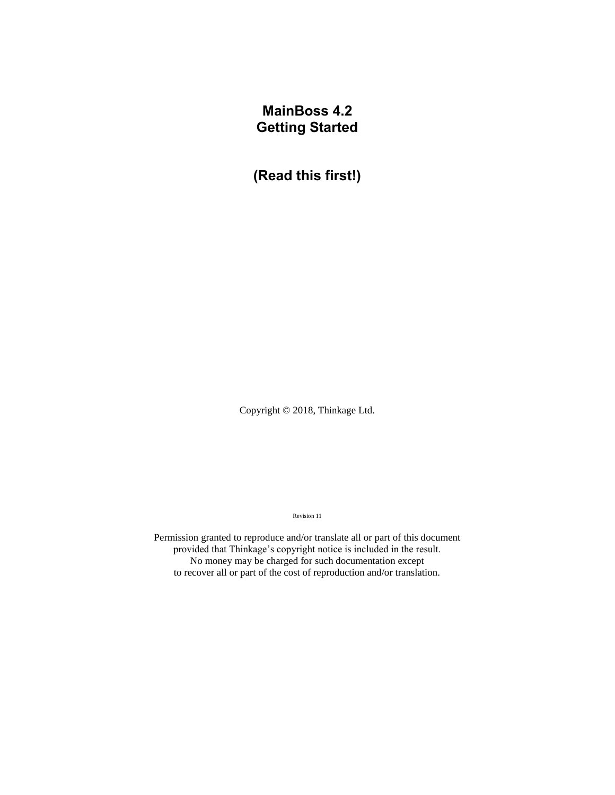# **MainBoss 4.2 Getting Started**

**(Read this first!)**

Copyright © 2018, Thinkage Ltd.

Revision 11

Permission granted to reproduce and/or translate all or part of this document provided that Thinkage's copyright notice is included in the result. No money may be charged for such documentation except to recover all or part of the cost of reproduction and/or translation.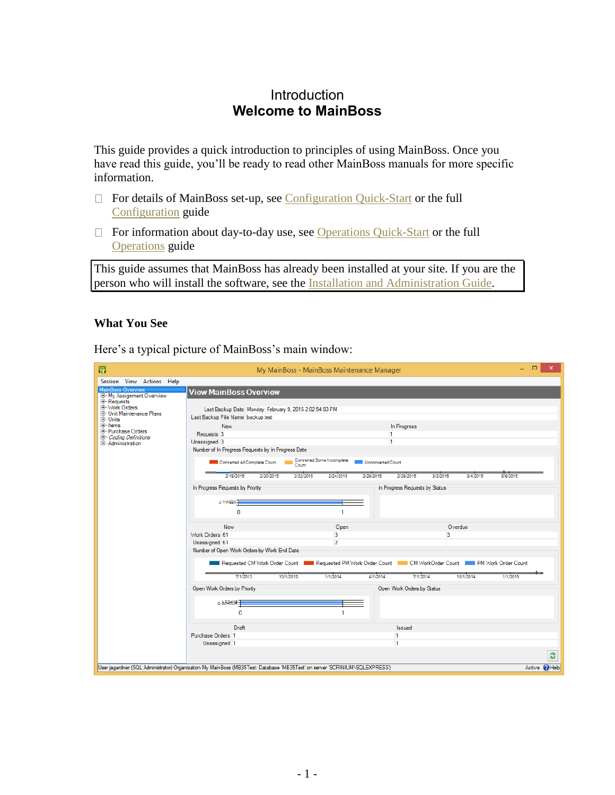# **Introduction Welcome to MainBoss**

This guide provides a quick introduction to principles of using MainBoss. Once you have read this guide, you'll be ready to read other MainBoss manuals for more specific information.

- $\Box$  For details of MainBoss set-up, see Configuration Quick-Start or the full Configuration guide
- $\Box$  For information about day-to-day use, see Operations Quick-Start or the full Operations guide

This guide assumes that MainBoss has already been installed at your site. If you are the person who will install the software, see the Installation and Administration Guide.

# **What You See**

Here's a typical picture of MainBoss's main window:

| 需                                                                                                                                                   |                                                                                                                             | My MainBoss - MainBoss Maintenance Manager     |                                                                                                              | $\Box$<br>×.         |
|-----------------------------------------------------------------------------------------------------------------------------------------------------|-----------------------------------------------------------------------------------------------------------------------------|------------------------------------------------|--------------------------------------------------------------------------------------------------------------|----------------------|
| Session View Actions Help                                                                                                                           |                                                                                                                             |                                                |                                                                                                              |                      |
| <b>MainBoss Overview</b><br>E-My Assignment Overview<br><b>E-Requests</b><br>E-Work Orders<br><b>E-Unit Maintenance Plans</b><br>由-Units<br>由-Items | <b>View MainBoss Overview</b>                                                                                               |                                                |                                                                                                              |                      |
|                                                                                                                                                     | Last Backup Date Monday, February 9, 2015 2:02:54.93 PM<br>Last Backup File Name backup.test                                |                                                |                                                                                                              |                      |
|                                                                                                                                                     | <b>New</b>                                                                                                                  |                                                |                                                                                                              |                      |
| E-Purchase Orders                                                                                                                                   | Requests 3                                                                                                                  |                                                | In Progress<br>1                                                                                             |                      |
| <b>Coding Definitions</b>                                                                                                                           | Unassigned 3                                                                                                                |                                                | 1                                                                                                            |                      |
| E-Administration                                                                                                                                    | Number of In Progress Requests by In Progress Date                                                                          |                                                |                                                                                                              |                      |
|                                                                                                                                                     |                                                                                                                             |                                                |                                                                                                              |                      |
|                                                                                                                                                     | Converted All Complete Count<br>Count                                                                                       | Converted Some Incomplete<br>Unconverted Count |                                                                                                              |                      |
|                                                                                                                                                     | 2/18/2015<br>2/20/2015                                                                                                      | 2/22/2015<br>2/24/2015<br>2/26/2015            | 3/2/2015<br>2/28/2015<br>3/4/2015                                                                            | 3/6/2015             |
|                                                                                                                                                     | In Progress Requests by Priority                                                                                            |                                                | In Progress Requests by Status                                                                               |                      |
|                                                                                                                                                     | J: 1 WEEK-                                                                                                                  |                                                |                                                                                                              |                      |
|                                                                                                                                                     | 0                                                                                                                           | 1                                              |                                                                                                              |                      |
|                                                                                                                                                     |                                                                                                                             |                                                |                                                                                                              |                      |
|                                                                                                                                                     | <b>New</b>                                                                                                                  | Open                                           | Overdue                                                                                                      |                      |
|                                                                                                                                                     | Work Orders 61                                                                                                              | 3                                              | $\overline{3}$                                                                                               |                      |
|                                                                                                                                                     | Unassigned 61                                                                                                               | $\overline{2}$                                 |                                                                                                              |                      |
|                                                                                                                                                     | Number of Open Work Orders by Work End Date                                                                                 |                                                |                                                                                                              |                      |
|                                                                                                                                                     |                                                                                                                             |                                                | Requested CM Work Order Count Requested PM Work Order Count Real CM WorkOrder Count Real PM Work Order Count |                      |
|                                                                                                                                                     |                                                                                                                             |                                                |                                                                                                              |                      |
|                                                                                                                                                     | 10/1/2013<br>7/1/2013                                                                                                       | 1/1/2014<br>4/1/2014                           | 7/1/2014<br>10/1/2014                                                                                        | 1/1/2015             |
|                                                                                                                                                     | Open Work Orders by Priority                                                                                                |                                                | Open Work Orders by Status                                                                                   |                      |
|                                                                                                                                                     | G-34R60RE                                                                                                                   |                                                |                                                                                                              |                      |
|                                                                                                                                                     | $\mathbf{0}$                                                                                                                |                                                |                                                                                                              |                      |
|                                                                                                                                                     | Draft.                                                                                                                      |                                                | <b>Issued</b>                                                                                                |                      |
|                                                                                                                                                     | Purchase Orders 1                                                                                                           |                                                | -1                                                                                                           |                      |
|                                                                                                                                                     | Unassigned 1                                                                                                                |                                                | $\mathbf{1}$                                                                                                 |                      |
|                                                                                                                                                     |                                                                                                                             |                                                |                                                                                                              | Ø                    |
|                                                                                                                                                     | User jagardner (SQL Administrator) Organization My MainBoss (MB35Test: Database 'MB35Test' on server 'SCRINIUM\SQLEXPRESS') |                                                |                                                                                                              | Active <b>P</b> Help |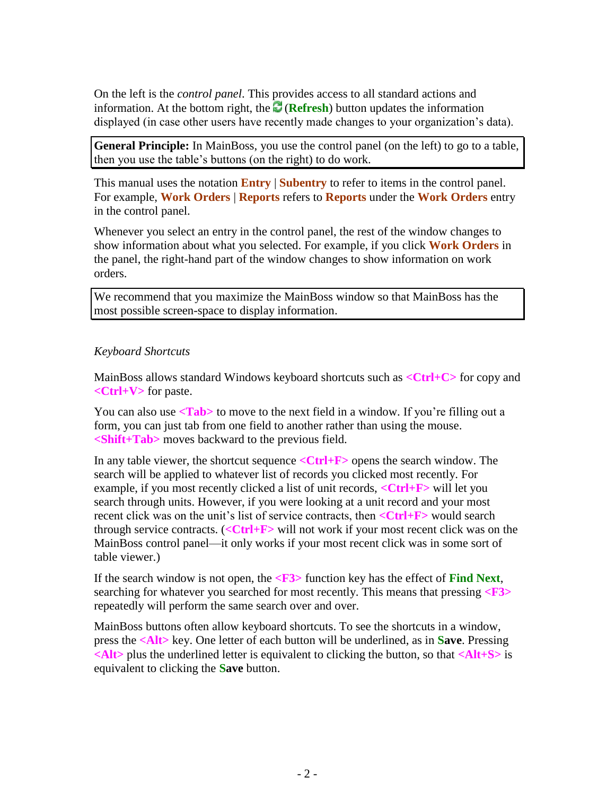On the left is the *control panel*. This provides access to all standard actions and information. At the bottom right, the  $\mathbb{C}$  (**Refresh**) button updates the information displayed (in case other users have recently made changes to your organization's data).

**General Principle:** In MainBoss, you use the control panel (on the left) to go to a table, then you use the table's buttons (on the right) to do work.

This manual uses the notation **Entry** | **Subentry** to refer to items in the control panel. For example, **Work Orders** | **Reports** refers to **Reports** under the **Work Orders** entry in the control panel.

Whenever you select an entry in the control panel, the rest of the window changes to show information about what you selected. For example, if you click **Work Orders** in the panel, the right-hand part of the window changes to show information on work orders.

We recommend that you maximize the MainBoss window so that MainBoss has the most possible screen-space to display information.

#### *Keyboard Shortcuts*

MainBoss allows standard Windows keyboard shortcuts such as **<Ctrl+C>** for copy and **<Ctrl+V>** for paste.

You can also use  $\langle \text{Tab} \rangle$  to move to the next field in a window. If you're filling out a form, you can just tab from one field to another rather than using the mouse. **<Shift+Tab>** moves backward to the previous field.

In any table viewer, the shortcut sequence **<Ctrl+F>** opens the search window. The search will be applied to whatever list of records you clicked most recently. For example, if you most recently clicked a list of unit records, **<Ctrl+F>** will let you search through units. However, if you were looking at a unit record and your most recent click was on the unit's list of service contracts, then **<Ctrl+F>** would search through service contracts. (**<Ctrl+F>** will not work if your most recent click was on the MainBoss control panel—it only works if your most recent click was in some sort of table viewer.)

If the search window is not open, the **<F3>** function key has the effect of **Find Next**, searching for whatever you searched for most recently. This means that pressing **<F3>** repeatedly will perform the same search over and over.

MainBoss buttons often allow keyboard shortcuts. To see the shortcuts in a window, press the **<Alt>** key. One letter of each button will be underlined, as in **Save**. Pressing **<Alt>** plus the underlined letter is equivalent to clicking the button, so that **<Alt+S>** is equivalent to clicking the **Save** button.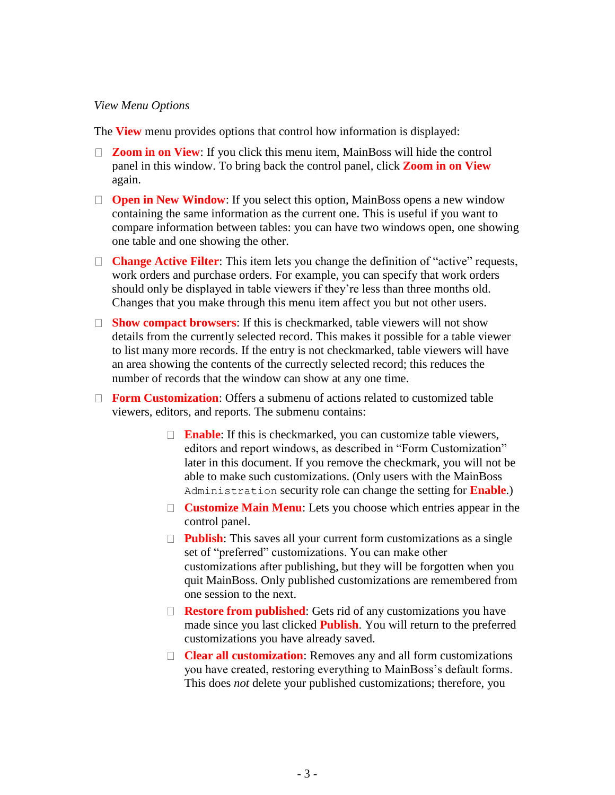#### *View Menu Options*

The **View** menu provides options that control how information is displayed:

- □ **Zoom in on View**: If you click this menu item, MainBoss will hide the control panel in this window. To bring back the control panel, click **Zoom in on View** again.
- □ **Open in New Window**: If you select this option, MainBoss opens a new window containing the same information as the current one. This is useful if you want to compare information between tables: you can have two windows open, one showing one table and one showing the other.
- □ **Change Active Filter**: This item lets you change the definition of "active" requests, work orders and purchase orders. For example, you can specify that work orders should only be displayed in table viewers if they're less than three months old. Changes that you make through this menu item affect you but not other users.
- **Show compact browsers**: If this is checkmarked, table viewers will not show details from the currently selected record. This makes it possible for a table viewer to list many more records. If the entry is not checkmarked, table viewers will have an area showing the contents of the currectly selected record; this reduces the number of records that the window can show at any one time.
- **Form Customization**: Offers a submenu of actions related to customized table viewers, editors, and reports. The submenu contains:
	- □ **Enable**: If this is checkmarked, you can customize table viewers, editors and report windows, as described in "Form Customization" later in this document. If you remove the checkmark, you will not be able to make such customizations. (Only users with the MainBoss Administration security role can change the setting for **Enable**.)
	- **Customize Main Menu**: Lets you choose which entries appear in the control panel.
	- **Publish:** This saves all your current form customizations as a single set of "preferred" customizations. You can make other customizations after publishing, but they will be forgotten when you quit MainBoss. Only published customizations are remembered from one session to the next.
	- □ **Restore from published**: Gets rid of any customizations you have made since you last clicked **Publish**. You will return to the preferred customizations you have already saved.
	- **Clear all customization**: Removes any and all form customizations you have created, restoring everything to MainBoss's default forms. This does *not* delete your published customizations; therefore, you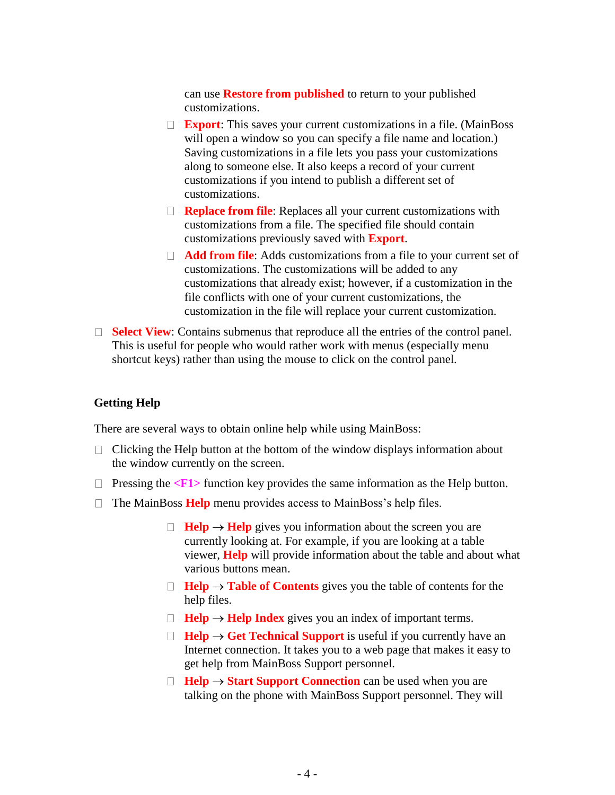can use **Restore from published** to return to your published customizations.

- **Export**: This saves your current customizations in a file. (MainBoss will open a window so you can specify a file name and location.) Saving customizations in a file lets you pass your customizations along to someone else. It also keeps a record of your current customizations if you intend to publish a different set of customizations.
- □ **Replace from file**: Replaces all your current customizations with customizations from a file. The specified file should contain customizations previously saved with **Export**.
- **Add from file:** Adds customizations from a file to your current set of customizations. The customizations will be added to any customizations that already exist; however, if a customization in the file conflicts with one of your current customizations, the customization in the file will replace your current customization.
- **Select View:** Contains submenus that reproduce all the entries of the control panel. This is useful for people who would rather work with menus (especially menu shortcut keys) rather than using the mouse to click on the control panel.

#### **Getting Help**

There are several ways to obtain online help while using MainBoss:

- $\Box$  Clicking the Help button at the bottom of the window displays information about the window currently on the screen.
- $\Box$  Pressing the  $\angle$ **F1**> function key provides the same information as the Help button.
- □ The MainBoss **Help** menu provides access to MainBoss's help files.
	- $\Box$  **Help**  $\rightarrow$  **Help** gives you information about the screen you are currently looking at. For example, if you are looking at a table viewer, **Help** will provide information about the table and about what various buttons mean.
	- $\Box$  **Help**  $\rightarrow$  **Table of Contents** gives you the table of contents for the help files.
	- $\Box$  **Help**  $\rightarrow$  **Help** Index gives you an index of important terms.
	- $\Box$  **Help**  $\rightarrow$  Get Technical Support is useful if you currently have an Internet connection. It takes you to a web page that makes it easy to get help from MainBoss Support personnel.
	- $\Box$  **Help**  $\rightarrow$  **Start Support Connection** can be used when you are talking on the phone with MainBoss Support personnel. They will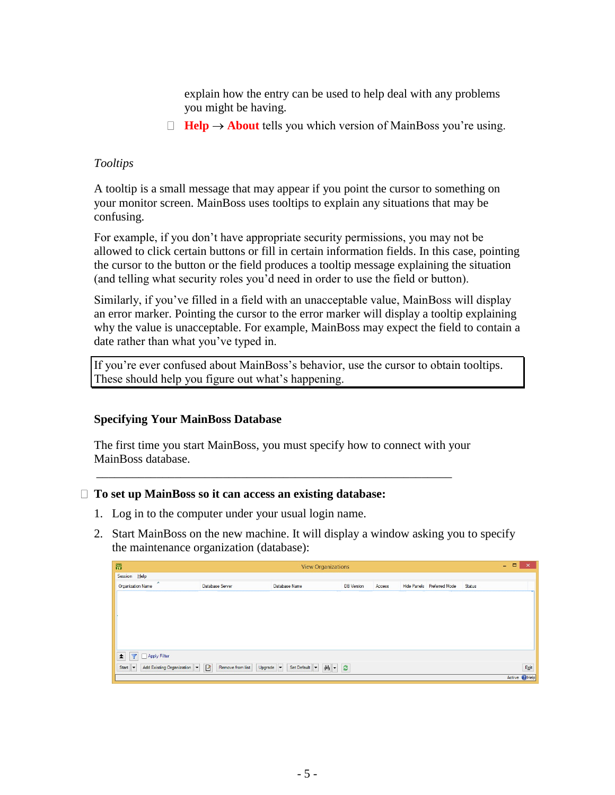explain how the entry can be used to help deal with any problems you might be having.

 $\Box$  **Help**  $\rightarrow$  **About** tells you which version of MainBoss you're using.

#### *Tooltips*

A tooltip is a small message that may appear if you point the cursor to something on your monitor screen. MainBoss uses tooltips to explain any situations that may be confusing.

For example, if you don't have appropriate security permissions, you may not be allowed to click certain buttons or fill in certain information fields. In this case, pointing the cursor to the button or the field produces a tooltip message explaining the situation (and telling what security roles you'd need in order to use the field or button).

Similarly, if you've filled in a field with an unacceptable value, MainBoss will display an error marker. Pointing the cursor to the error marker will display a tooltip explaining why the value is unacceptable. For example, MainBoss may expect the field to contain a date rather than what you've typed in.

If you're ever confused about MainBoss's behavior, use the cursor to obtain tooltips. These should help you figure out what's happening.

## **Specifying Your MainBoss Database**

The first time you start MainBoss, you must specify how to connect with your MainBoss database.

\_\_\_\_\_\_\_\_\_\_\_\_\_\_\_\_\_\_\_\_\_\_\_\_\_\_\_\_\_\_\_\_\_\_\_\_\_\_\_\_\_\_\_\_\_\_\_\_\_\_\_\_\_\_\_\_\_\_\_

#### **To set up MainBoss so it can access an existing database:**

- 1. Log in to the computer under your usual login name.
- 2. Start MainBoss on the new machine. It will display a window asking you to specify the maintenance organization (database):

| 爵                                                           | <b>View Organizations</b>       |                                             |                   |        |  |                            |        | $\Box$<br>$\mathbf{x}$<br>$-$ |
|-------------------------------------------------------------|---------------------------------|---------------------------------------------|-------------------|--------|--|----------------------------|--------|-------------------------------|
| Session Help                                                |                                 |                                             |                   |        |  |                            |        |                               |
| ×<br><b>Organization Name</b>                               | Database Server                 | Database Name                               | <b>DB</b> Version | Access |  | Hide Panels Preferred Mode | Status |                               |
|                                                             |                                 |                                             |                   |        |  |                            |        |                               |
|                                                             |                                 |                                             |                   |        |  |                            |        |                               |
|                                                             |                                 |                                             |                   |        |  |                            |        |                               |
|                                                             |                                 |                                             |                   |        |  |                            |        |                               |
|                                                             |                                 |                                             |                   |        |  |                            |        |                               |
|                                                             |                                 |                                             |                   |        |  |                            |        |                               |
|                                                             |                                 |                                             |                   |        |  |                            |        |                               |
| Apply Filter<br>$\overline{\mathbf{r}}$<br>$\blacktriangle$ |                                 |                                             |                   |        |  |                            |        |                               |
| Add Existing Organization<br>Start<br>⊩▼                    | $\mathbb Z$<br>Remove from list | Upgrade $\blacktriangledown$<br>Set Default | M - C             |        |  |                            |        | Exit                          |
|                                                             |                                 |                                             |                   |        |  |                            |        | Active <b>C</b> Help          |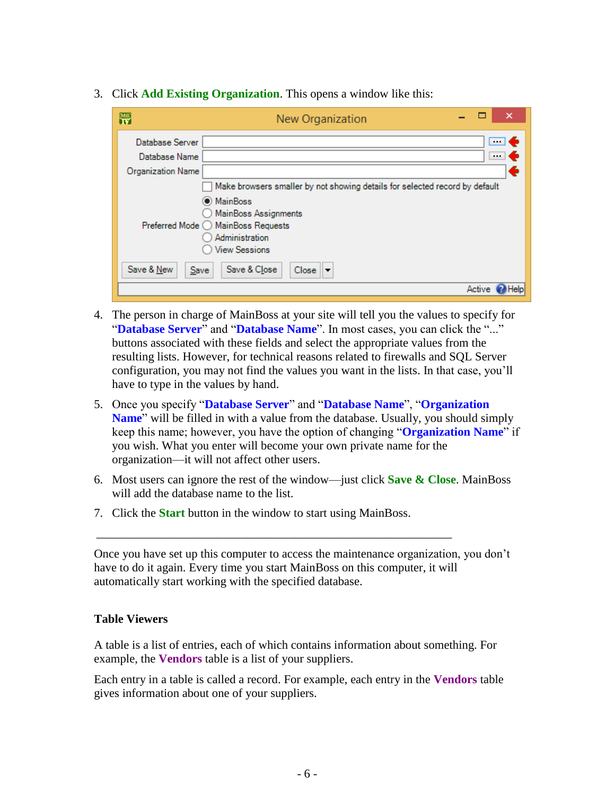3. Click **Add Existing Organization**. This opens a window like this:

| 閇                        | ×<br>New Organization                                                       |
|--------------------------|-----------------------------------------------------------------------------|
| Database Server          | $\blacksquare$                                                              |
| Database Name            | $\cdots$ 6                                                                  |
| <b>Organization Name</b> | €                                                                           |
|                          | Make browsers smaller by not showing details for selected record by default |
|                          | O MainBoss                                                                  |
|                          | MainBoss Assignments                                                        |
|                          | Preferred Mode ◯ MainBoss Requests                                          |
|                          | Administration                                                              |
|                          | <b>View Sessions</b>                                                        |
| Save & New<br>Save       | Save & Close<br>$Close \rvert \rvert \rvert$                                |
|                          | Active                                                                      |

- 4. The person in charge of MainBoss at your site will tell you the values to specify for "**Database Server**" and "**Database Name**". In most cases, you can click the "..." buttons associated with these fields and select the appropriate values from the resulting lists. However, for technical reasons related to firewalls and SQL Server configuration, you may not find the values you want in the lists. In that case, you'll have to type in the values by hand.
- 5. Once you specify "**Database Server**" and "**Database Name**", "**Organization Name**" will be filled in with a value from the database. Usually, you should simply keep this name; however, you have the option of changing "**Organization Name**" if you wish. What you enter will become your own private name for the organization—it will not affect other users.
- 6. Most users can ignore the rest of the window—just click **Save & Close**. MainBoss will add the database name to the list.
- 7. Click the **Start** button in the window to start using MainBoss.

\_\_\_\_\_\_\_\_\_\_\_\_\_\_\_\_\_\_\_\_\_\_\_\_\_\_\_\_\_\_\_\_\_\_\_\_\_\_\_\_\_\_\_\_\_\_\_\_\_\_\_\_\_\_\_\_\_\_\_

Once you have set up this computer to access the maintenance organization, you don't have to do it again. Every time you start MainBoss on this computer, it will automatically start working with the specified database.

## **Table Viewers**

A table is a list of entries, each of which contains information about something. For example, the **Vendors** table is a list of your suppliers.

Each entry in a table is called a record. For example, each entry in the **Vendors** table gives information about one of your suppliers.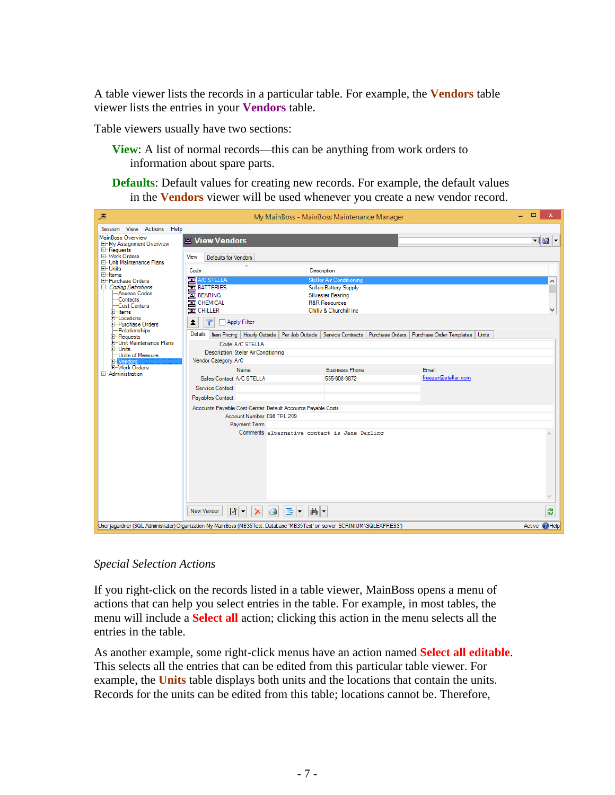A table viewer lists the records in a particular table. For example, the **Vendors** table viewer lists the entries in your **Vendors** table.

Table viewers usually have two sections:

- **View**: A list of normal records—this can be anything from work orders to information about spare parts.
- **Defaults**: Default values for creating new records. For example, the default values in the **Vendors** viewer will be used whenever you create a new vendor record.



*Special Selection Actions*

If you right-click on the records listed in a table viewer, MainBoss opens a menu of actions that can help you select entries in the table. For example, in most tables, the menu will include a **Select all** action; clicking this action in the menu selects all the entries in the table.

As another example, some right-click menus have an action named **Select all editable**. This selects all the entries that can be edited from this particular table viewer. For example, the **Units** table displays both units and the locations that contain the units. Records for the units can be edited from this table; locations cannot be. Therefore,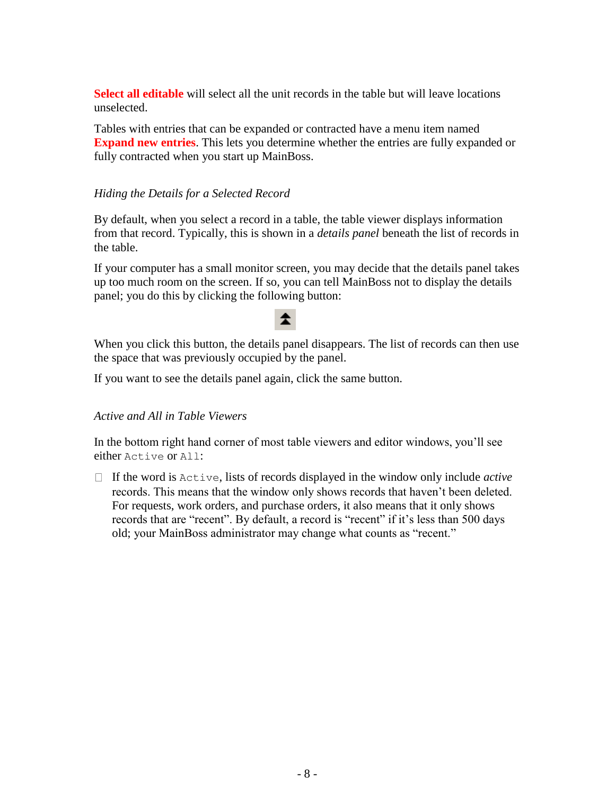**Select all editable** will select all the unit records in the table but will leave locations unselected.

Tables with entries that can be expanded or contracted have a menu item named **Expand new entries**. This lets you determine whether the entries are fully expanded or fully contracted when you start up MainBoss.

# *Hiding the Details for a Selected Record*

By default, when you select a record in a table, the table viewer displays information from that record. Typically, this is shown in a *details panel* beneath the list of records in the table.

If your computer has a small monitor screen, you may decide that the details panel takes up too much room on the screen. If so, you can tell MainBoss not to display the details panel; you do this by clicking the following button:

# 全

When you click this button, the details panel disappears. The list of records can then use the space that was previously occupied by the panel.

If you want to see the details panel again, click the same button.

## *Active and All in Table Viewers*

In the bottom right hand corner of most table viewers and editor windows, you'll see either Active or All:

 $\Box$  If the word is  $\text{Active}, \text{lists of records displayed in the window only include active}$ records. This means that the window only shows records that haven't been deleted. For requests, work orders, and purchase orders, it also means that it only shows records that are "recent". By default, a record is "recent" if it's less than 500 days old; your MainBoss administrator may change what counts as "recent."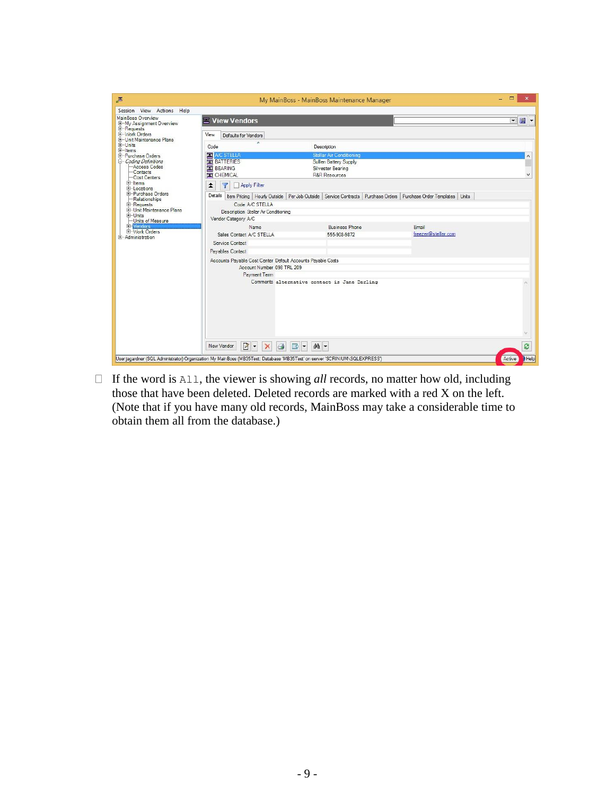| 国                                                                                                                |                                                                                                                                                                                    | My MainBoss - MainBoss Maintenance Manager   |  |                                                                        | □              |                                 |
|------------------------------------------------------------------------------------------------------------------|------------------------------------------------------------------------------------------------------------------------------------------------------------------------------------|----------------------------------------------|--|------------------------------------------------------------------------|----------------|---------------------------------|
| Session View Actions Help                                                                                        |                                                                                                                                                                                    |                                              |  |                                                                        |                |                                 |
| MainBoss Overview<br>E-My Assignment Overview<br>E-Requests<br>El-Work Orders                                    | $\equiv$ View Vendors<br>View<br>Defaults for Vendors                                                                                                                              |                                              |  |                                                                        | $\blacksquare$ | $\vert$ $\vert$ $\vert$ $\vert$ |
| E-Unit Maintenance Plans<br>$L$ -Units<br>E-Items                                                                | Code                                                                                                                                                                               | Description                                  |  |                                                                        |                |                                 |
| + Purchase Orders<br><b>E</b> -Coding Definitions<br>Access Codes<br>$-$ Contacts<br>-Cost Centers<br>$+$ -Items | <b>EXE</b> A/C STELLA<br>Stellar Air Conditioning<br><b>EX BATTERIES</b><br>Sullen Battery Supply<br><b>E</b> BEARING<br>Silvester Bearing<br><b>R&amp;R Resources</b><br>CHEMICAL |                                              |  |                                                                        |                |                                 |
| F-Locations<br><b>E-Purchase Orders</b><br>-Relationships                                                        | Apply Filter<br>$\overline{\mathbf{Y}}$<br>≵<br>Details   Item Pricing   Hourly Outside   Per Job Outside                                                                          |                                              |  | Service Contracts   Purchase Orders   Purchase Order Templates   Units |                |                                 |
| E-Requests<br><b>H-Unit Maintenance Plans</b><br>$F$ -Units<br><b>Units of Measure</b><br><b>EL Vendors</b>      | Code A/C STELLA<br>Description Stellar Air Conditioning<br>Vendor Category A/C<br><b>Name</b>                                                                                      | <b>Business Phone</b>                        |  | Fmail                                                                  |                |                                 |
| E-Work Orders<br>E-Administration                                                                                | Sales Contact A/C STELLA<br>Service Contact                                                                                                                                        | 555-908-9872                                 |  | freezer@stellar.com                                                    |                |                                 |
|                                                                                                                  | Payables Contact                                                                                                                                                                   |                                              |  |                                                                        |                |                                 |
|                                                                                                                  | Accounts Payable Cost Center Default Accounts Payable Costs<br>Account Number 098 TRL 209<br>Payment Term                                                                          |                                              |  |                                                                        |                |                                 |
|                                                                                                                  |                                                                                                                                                                                    | Comments alternative contact is Jane Darling |  |                                                                        |                |                                 |
|                                                                                                                  | $\sim$<br>New Vendor<br>$\triangleleft$<br>$\times$                                                                                                                                | 的 -<br>$\mathbb{B}$ -                        |  |                                                                        |                | Ø                               |
|                                                                                                                  | User jagardner (SQL Administrator) Organization My MainBoss (MB35Test: Database 'MB35Test' on server 'SCRINIUM\SQLEXPRESS')                                                        |                                              |  |                                                                        | Active         | Help                            |

 $\Box$  If the word is  $\text{All}$ , the viewer is showing *all* records, no matter how old, including those that have been deleted. Deleted records are marked with a red X on the left. (Note that if you have many old records, MainBoss may take a considerable time to obtain them all from the database.)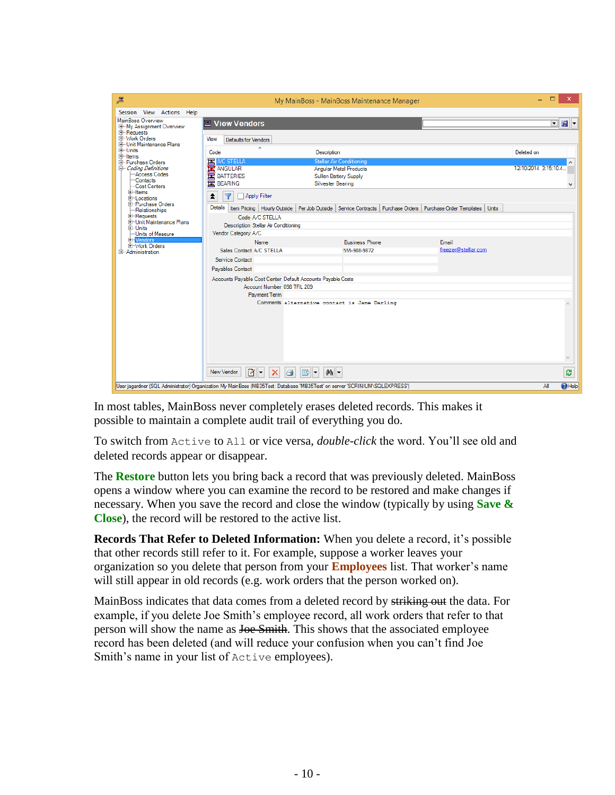| 国                                                                             |                                                                                           | My MainBoss - MainBoss Maintenance Manager                                                                                         |                     | $\Box$<br>×                               |  |  |
|-------------------------------------------------------------------------------|-------------------------------------------------------------------------------------------|------------------------------------------------------------------------------------------------------------------------------------|---------------------|-------------------------------------------|--|--|
| Session View Actions Help                                                     |                                                                                           |                                                                                                                                    |                     |                                           |  |  |
| MainBoss Overview<br><b>E-My Assignment Overview</b>                          | $\equiv$ View Vendors                                                                     |                                                                                                                                    |                     | $\ $ g $\ $ -<br>$\overline{\phantom{a}}$ |  |  |
| <b>E-Requests</b><br><b>ID-Work Orders</b><br><b>E-Unit Maintenance Plans</b> | View<br>Defaults for Vendors                                                              |                                                                                                                                    |                     |                                           |  |  |
| $H$ -Units<br>$\overline{1}$ -Items                                           | Code                                                                                      | <b>Description</b>                                                                                                                 |                     | Deleted on                                |  |  |
| <b>E</b> -Purchase Orders<br>Coding Definitions                               | <b>EX</b> A/C STELLA                                                                      | <b>Stellar Air Conditioning</b>                                                                                                    |                     | 12/10/2014 3:15:10.4.                     |  |  |
| -Access Codes                                                                 | <b>X</b> ANGULAR<br>囸<br><b>BATTERIES</b>                                                 | <b>Angular Metal Products</b><br>Sullen Battery Supply                                                                             |                     |                                           |  |  |
| -Contacts<br>-Cost Centers                                                    | <b>EX BEARING</b>                                                                         | Silvester Bearing                                                                                                                  |                     | Ŵ                                         |  |  |
| <b>⊞</b> Hems<br>E-Locations                                                  | 全<br>Apply Filter<br>Y                                                                    |                                                                                                                                    |                     |                                           |  |  |
| E-Purchase Orders<br>-Relationships                                           |                                                                                           | Details   Item Pricing   Hourly Outside   Per Job Outside   Service Contracts   Purchase Orders   Purchase Order Templates   Units |                     |                                           |  |  |
| E-Requests<br><b>E-Unit Maintenance Plans</b>                                 | Code A/C STELLA                                                                           |                                                                                                                                    |                     |                                           |  |  |
| 由-Units<br>-Units of Measure                                                  | <b>Description Stellar Air Conditioning</b><br>Vendor Category A/C                        |                                                                                                                                    |                     |                                           |  |  |
| El-Vendors                                                                    | Name                                                                                      | <b>Business Phone</b>                                                                                                              | Email               |                                           |  |  |
| Work Orders<br>+-Administration                                               | Sales Contact A/C STELLA                                                                  | 555-908-9872                                                                                                                       | freezer@stellar.com |                                           |  |  |
|                                                                               | Service Contact                                                                           |                                                                                                                                    |                     |                                           |  |  |
|                                                                               | <b>Payables Contact</b>                                                                   |                                                                                                                                    |                     |                                           |  |  |
|                                                                               | Accounts Payable Cost Center Default Accounts Payable Costs<br>Account Number 098 TRL 209 |                                                                                                                                    |                     |                                           |  |  |
|                                                                               | <b>Payment Term</b>                                                                       |                                                                                                                                    |                     |                                           |  |  |
|                                                                               |                                                                                           | Comments alternative contact is Jane Darling                                                                                       |                     | $\wedge$                                  |  |  |
|                                                                               |                                                                                           |                                                                                                                                    |                     |                                           |  |  |
|                                                                               |                                                                                           |                                                                                                                                    |                     |                                           |  |  |
|                                                                               |                                                                                           |                                                                                                                                    |                     |                                           |  |  |
|                                                                               |                                                                                           |                                                                                                                                    |                     |                                           |  |  |
|                                                                               | $\frac{1}{2}$ -<br>New Vendor<br>$\mathsf{\times}$<br>e                                   | 44 ▼<br>B<br>$\overline{\phantom{a}}$                                                                                              |                     | ප                                         |  |  |
|                                                                               |                                                                                           | User jagardner (SQL Administrator) Organization My MainBoss (MB35Test: Database 'MB35Test' on server 'SCRINIUM\SQLEXPRESS')        |                     | $\bigcirc$ Help<br>ΑII                    |  |  |

In most tables, MainBoss never completely erases deleted records. This makes it possible to maintain a complete audit trail of everything you do.

To switch from Active to All or vice versa, *double-click* the word. You'll see old and deleted records appear or disappear.

The **Restore** button lets you bring back a record that was previously deleted. MainBoss opens a window where you can examine the record to be restored and make changes if necessary. When you save the record and close the window (typically by using **Save & Close**), the record will be restored to the active list.

**Records That Refer to Deleted Information:** When you delete a record, it's possible that other records still refer to it. For example, suppose a worker leaves your organization so you delete that person from your **Employees** list. That worker's name will still appear in old records (e.g. work orders that the person worked on).

MainBoss indicates that data comes from a deleted record by striking out the data. For example, if you delete Joe Smith's employee record, all work orders that refer to that person will show the name as Joe Smith. This shows that the associated employee record has been deleted (and will reduce your confusion when you can't find Joe Smith's name in your list of Active employees).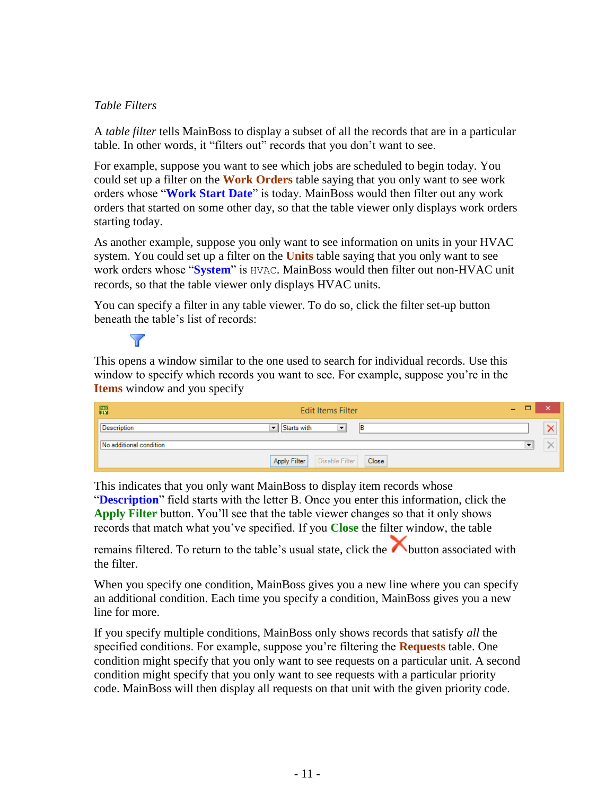## <span id="page-11-0"></span>*Table Filters*

A *table filter* tells MainBoss to display a subset of all the records that are in a particular table. In other words, it "filters out" records that you don't want to see.

For example, suppose you want to see which jobs are scheduled to begin today. You could set up a filter on the **Work Orders** table saying that you only want to see work orders whose "**Work Start Date**" is today. MainBoss would then filter out any work orders that started on some other day, so that the table viewer only displays work orders starting today.

As another example, suppose you only want to see information on units in your HVAC system. You could set up a filter on the **Units** table saying that you only want to see work orders whose "**System**" is HVAC. MainBoss would then filter out non-HVAC unit records, so that the table viewer only displays HVAC units.

You can specify a filter in any table viewer. To do so, click the filter set-up button beneath the table's list of records:

W

This opens a window similar to the one used to search for individual records. Use this window to specify which records you want to see. For example, suppose you're in the **Items** window and you specify

| 冊                       | <b>Edit Items Filter</b>                            | $\tilde{}$<br>- |  |
|-------------------------|-----------------------------------------------------|-----------------|--|
| Description             | Starts with<br>1B<br>$\overline{\phantom{a}}$<br>I. |                 |  |
| No additional condition |                                                     | $\cdot$         |  |
|                         | Disable Filter<br>Apply Filter<br>Close             |                 |  |

This indicates that you only want MainBoss to display item records whose "**Description**" field starts with the letter B. Once you enter this information, click the **Apply Filter** button. You'll see that the table viewer changes so that it only shows records that match what you've specified. If you **Close** the filter window, the table

remains filtered. To return to the table's usual state, click the button associated with the filter.

When you specify one condition, MainBoss gives you a new line where you can specify an additional condition. Each time you specify a condition, MainBoss gives you a new line for more.

If you specify multiple conditions, MainBoss only shows records that satisfy *all* the specified conditions. For example, suppose you're filtering the **Requests** table. One condition might specify that you only want to see requests on a particular unit. A second condition might specify that you only want to see requests with a particular priority code. MainBoss will then display all requests on that unit with the given priority code.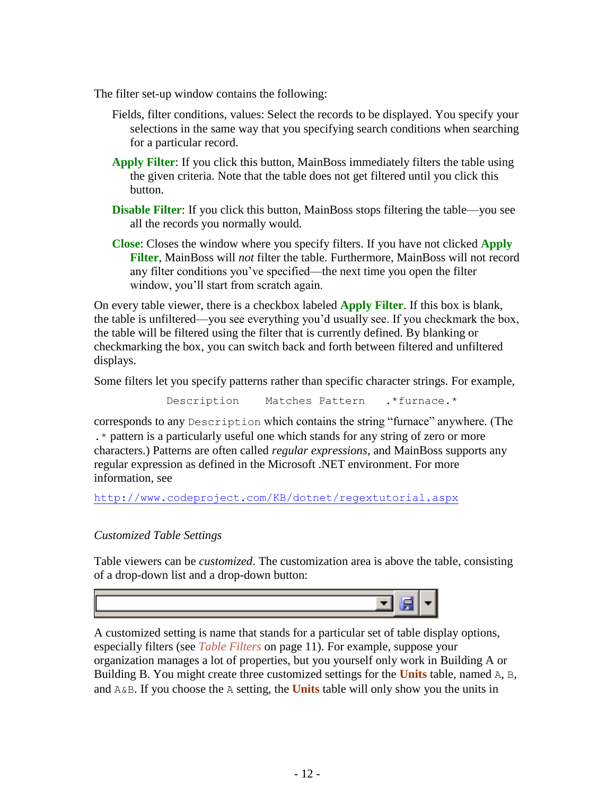The filter set-up window contains the following:

- Fields, filter conditions, values: Select the records to be displayed. You specify your selections in the same way that you specifying search conditions when searching for a particular record.
- **Apply Filter**: If you click this button, MainBoss immediately filters the table using the given criteria. Note that the table does not get filtered until you click this button.
- **Disable Filter:** If you click this button, MainBoss stops filtering the table—you see all the records you normally would.
- **Close**: Closes the window where you specify filters. If you have not clicked **Apply Filter**, MainBoss will *not* filter the table. Furthermore, MainBoss will not record any filter conditions you've specified—the next time you open the filter window, you'll start from scratch again.

On every table viewer, there is a checkbox labeled **Apply Filter**. If this box is blank, the table is unfiltered—you see everything you'd usually see. If you checkmark the box, the table will be filtered using the filter that is currently defined. By blanking or checkmarking the box, you can switch back and forth between filtered and unfiltered displays.

Some filters let you specify patterns rather than specific character strings. For example,

Description Matches Pattern .\*furnace.\*

corresponds to any Description which contains the string "furnace" anywhere. (The .\* pattern is a particularly useful one which stands for any string of zero or more characters.) Patterns are often called *regular expressions*, and MainBoss supports any regular expression as defined in the Microsoft .NET environment. For more information, see

<http://www.codeproject.com/KB/dotnet/regextutorial.aspx>

## <span id="page-12-0"></span>*Customized Table Settings*

Table viewers can be *customized*. The customization area is above the table, consisting of a drop-down list and a drop-down button:



A customized setting is name that stands for a particular set of table display options, especially filters (see *[Table Filters](#page-11-0)* on page [11\)](#page-11-0). For example, suppose your organization manages a lot of properties, but you yourself only work in Building A or Building B. You might create three customized settings for the **Units** table, named A, B, and A&B. If you choose the A setting, the **Units** table will only show you the units in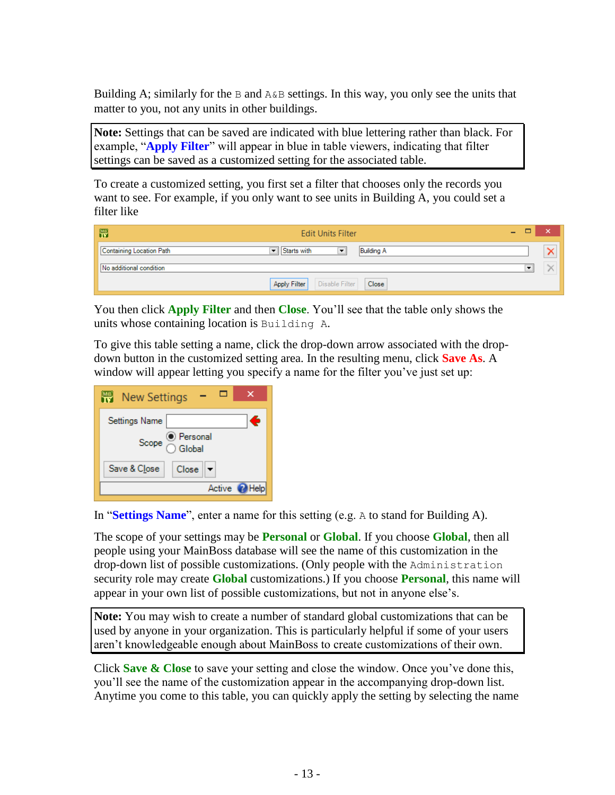Building A; similarly for the  $\overline{B}$  and  $A\&B$  settings. In this way, you only see the units that matter to you, not any units in other buildings.

**Note:** Settings that can be saved are indicated with blue lettering rather than black. For example, "**Apply Filter**" will appear in blue in table viewers, indicating that filter settings can be saved as a customized setting for the associated table.

To create a customized setting, you first set a filter that chooses only the records you want to see. For example, if you only want to see units in Building A, you could set a filter like

| 體                        | <b>Edit Units Filter</b>                | -                        | × |
|--------------------------|-----------------------------------------|--------------------------|---|
| Containing Location Path | Istarts with<br><b>Building A</b><br>▾  |                          |   |
| No additional condition  |                                         | $\overline{\phantom{a}}$ |   |
|                          | Disable Filter<br>Close<br>Apply Filter |                          |   |

You then click **Apply Filter** and then **Close**. You'll see that the table only shows the units whose containing location is Building A.

To give this table setting a name, click the drop-down arrow associated with the dropdown button in the customized setting area. In the resulting menu, click **Save As**. A window will appear letting you specify a name for the filter you've just set up:

| <b>New Settings</b>                                                                                                                                                                                                                                                                                                                                 |
|-----------------------------------------------------------------------------------------------------------------------------------------------------------------------------------------------------------------------------------------------------------------------------------------------------------------------------------------------------|
| Settings Name<br>£                                                                                                                                                                                                                                                                                                                                  |
| $\begin{picture}(150,10) \put(0,0){\line(1,0){15}} \put(15,0){\line(1,0){15}} \put(15,0){\line(1,0){15}} \put(15,0){\line(1,0){15}} \put(15,0){\line(1,0){15}} \put(15,0){\line(1,0){15}} \put(15,0){\line(1,0){15}} \put(15,0){\line(1,0){15}} \put(15,0){\line(1,0){15}} \put(15,0){\line(1,0){15}} \put(15,0){\line(1,0){15}} \put(15,0){\line($ |
| Save & Close<br>Close                                                                                                                                                                                                                                                                                                                               |
| Active <b>P</b> Help                                                                                                                                                                                                                                                                                                                                |

In "**Settings Name**", enter a name for this setting (e.g. A to stand for Building A).

The scope of your settings may be **Personal** or **Global**. If you choose **Global**, then all people using your MainBoss database will see the name of this customization in the drop-down list of possible customizations. (Only people with the Administration security role may create **Global** customizations.) If you choose **Personal**, this name will appear in your own list of possible customizations, but not in anyone else's.

**Note:** You may wish to create a number of standard global customizations that can be used by anyone in your organization. This is particularly helpful if some of your users aren't knowledgeable enough about MainBoss to create customizations of their own.

Click **Save & Close** to save your setting and close the window. Once you've done this, you'll see the name of the customization appear in the accompanying drop-down list. Anytime you come to this table, you can quickly apply the setting by selecting the name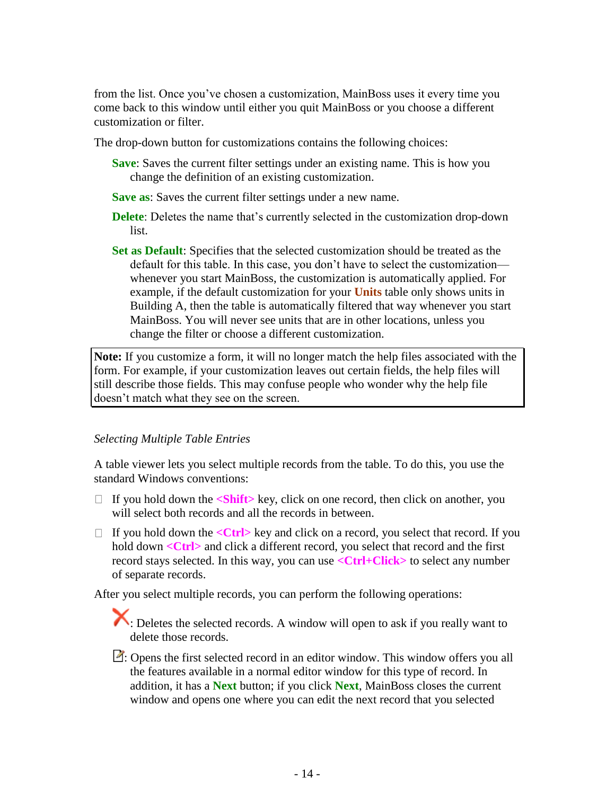from the list. Once you've chosen a customization, MainBoss uses it every time you come back to this window until either you quit MainBoss or you choose a different customization or filter.

The drop-down button for customizations contains the following choices:

- **Save**: Saves the current filter settings under an existing name. This is how you change the definition of an existing customization.
- **Save as**: Saves the current filter settings under a new name.
- **Delete**: Deletes the name that's currently selected in the customization drop-down list.
- **Set as Default**: Specifies that the selected customization should be treated as the default for this table. In this case, you don't have to select the customization whenever you start MainBoss, the customization is automatically applied. For example, if the default customization for your **Units** table only shows units in Building A, then the table is automatically filtered that way whenever you start MainBoss. You will never see units that are in other locations, unless you change the filter or choose a different customization.

**Note:** If you customize a form, it will no longer match the help files associated with the form. For example, if your customization leaves out certain fields, the help files will still describe those fields. This may confuse people who wonder why the help file doesn't match what they see on the screen.

## *Selecting Multiple Table Entries*

A table viewer lets you select multiple records from the table. To do this, you use the standard Windows conventions:

- If you hold down the **<Shift>** key, click on one record, then click on another, you will select both records and all the records in between.
- If you hold down the  $\langle$ Ctrl> key and click on a record, you select that record. If you hold down <**Ctrl>** and click a different record, you select that record and the first record stays selected. In this way, you can use **<Ctrl+Click>** to select any number of separate records.

After you select multiple records, you can perform the following operations:

: Deletes the selected records. A window will open to ask if you really want to delete those records.

 $\Box$ : Opens the first selected record in an editor window. This window offers you all the features available in a normal editor window for this type of record. In addition, it has a **Next** button; if you click **Next**, MainBoss closes the current window and opens one where you can edit the next record that you selected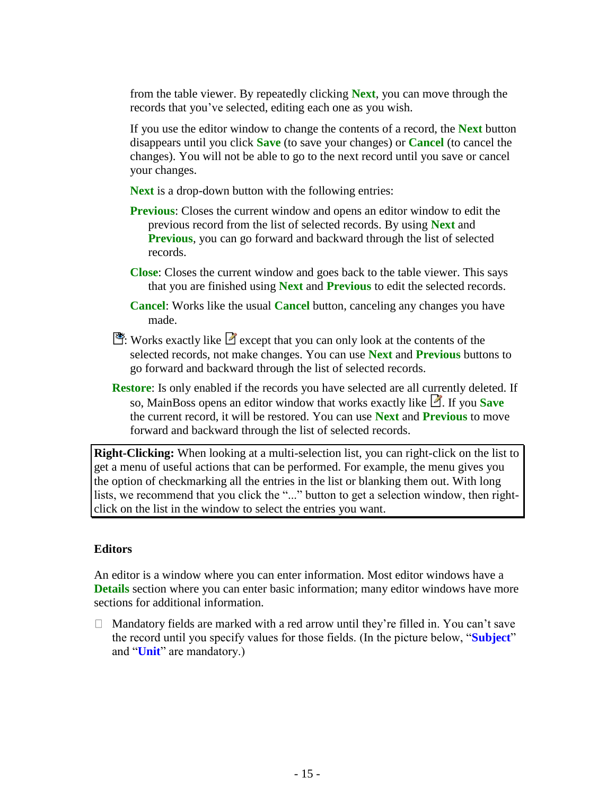from the table viewer. By repeatedly clicking **Next**, you can move through the records that you've selected, editing each one as you wish.

If you use the editor window to change the contents of a record, the **Next** button disappears until you click **Save** (to save your changes) or **Cancel** (to cancel the changes). You will not be able to go to the next record until you save or cancel your changes.

**Next** is a drop-down button with the following entries:

- **Previous**: Closes the current window and opens an editor window to edit the previous record from the list of selected records. By using **Next** and **Previous**, you can go forward and backward through the list of selected records.
- **Close**: Closes the current window and goes back to the table viewer. This says that you are finished using **Next** and **Previous** to edit the selected records.
- **Cancel**: Works like the usual **Cancel** button, canceling any changes you have made.
- : Works exactly like  $\Box$  except that you can only look at the contents of the selected records, not make changes. You can use **Next** and **Previous** buttons to go forward and backward through the list of selected records.
- **Restore**: Is only enabled if the records you have selected are all currently deleted. If so, MainBoss opens an editor window that works exactly like **1**. If you **Save** the current record, it will be restored. You can use **Next** and **Previous** to move forward and backward through the list of selected records.

**Right-Clicking:** When looking at a multi-selection list, you can right-click on the list to get a menu of useful actions that can be performed. For example, the menu gives you the option of checkmarking all the entries in the list or blanking them out. With long lists, we recommend that you click the "..." button to get a selection window, then rightclick on the list in the window to select the entries you want.

## **Editors**

An editor is a window where you can enter information. Most editor windows have a **Details** section where you can enter basic information; many editor windows have more sections for additional information.

 $\Box$  Mandatory fields are marked with a red arrow until they're filled in. You can't save the record until you specify values for those fields. (In the picture below, "**Subject**" and "**Unit**" are mandatory.)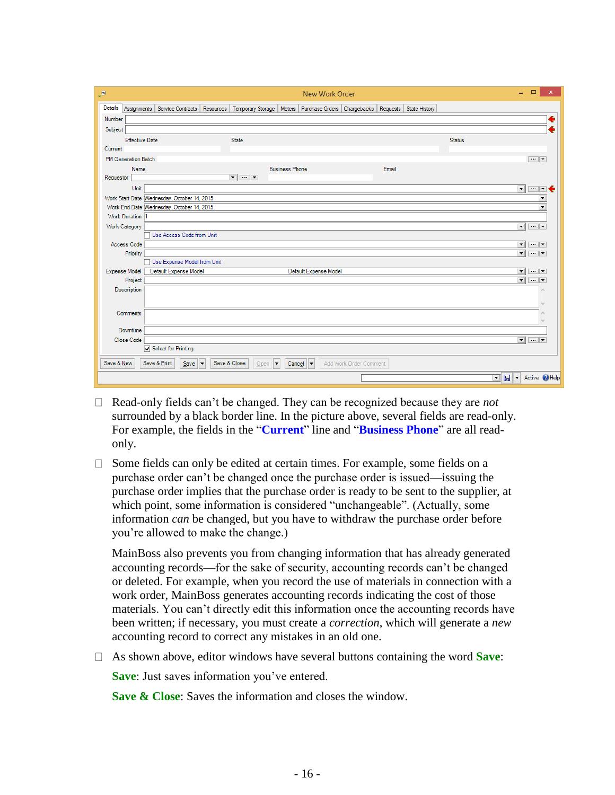| $\Theta_{\rm m}$ |                            |                                             |    |                                                    |                       | New Work Order                                           |                        |       |               |          | $\Box$<br>÷.             | ×                                                               |
|------------------|----------------------------|---------------------------------------------|----|----------------------------------------------------|-----------------------|----------------------------------------------------------|------------------------|-------|---------------|----------|--------------------------|-----------------------------------------------------------------|
| <b>Details</b>   |                            | Assignments   Service Contracts   Resources |    | Temporary Storage   Meters                         |                       | Purchase Orders   Chargebacks   Requests   State History |                        |       |               |          |                          |                                                                 |
| Number           |                            |                                             |    |                                                    |                       |                                                          |                        |       |               |          |                          | €                                                               |
| Subject          |                            |                                             |    |                                                    |                       |                                                          |                        |       |               |          |                          |                                                                 |
|                  | <b>Effective Date</b>      |                                             |    | <b>State</b>                                       |                       |                                                          |                        |       | <b>Status</b> |          |                          |                                                                 |
| Current          |                            |                                             |    |                                                    |                       |                                                          |                        |       |               |          |                          |                                                                 |
|                  | <b>PM Generation Batch</b> |                                             |    |                                                    |                       |                                                          |                        |       |               |          |                          | $\cdots$ $\blacktriangledown$                                   |
|                  | Name                       |                                             |    |                                                    | <b>Business Phone</b> |                                                          |                        | Email |               |          |                          |                                                                 |
| Requestor        |                            |                                             |    | $\overline{\mathbf{v}}$ or $\overline{\mathbf{v}}$ |                       |                                                          |                        |       |               |          |                          |                                                                 |
|                  | Unit                       |                                             |    |                                                    |                       |                                                          |                        |       |               |          | $\overline{\phantom{0}}$ | $-1$                                                            |
|                  |                            | Work Start Date Wednesday, October 14, 2015 |    |                                                    |                       |                                                          |                        |       |               |          |                          | $\blacktriangledown$                                            |
|                  |                            | Work End Date Wednesday, October 14, 2015   |    |                                                    |                       |                                                          |                        |       |               |          |                          | $\overline{\phantom{a}}$                                        |
|                  | Work Duration 1            |                                             |    |                                                    |                       |                                                          |                        |       |               |          |                          |                                                                 |
| Work Category    |                            |                                             |    |                                                    |                       |                                                          |                        |       |               |          | $\overline{\phantom{0}}$ | $\left\vert \cdots\right\vert \left\vert \mathbf{v}\right\vert$ |
|                  |                            | Use Access Code from Unit                   |    |                                                    |                       |                                                          |                        |       |               |          |                          |                                                                 |
|                  | Access Code                |                                             |    |                                                    |                       |                                                          |                        |       |               |          | $\overline{\phantom{0}}$ | $\cdots$ $\mathbf{v}$                                           |
|                  | Priority                   | Use Expense Model from Unit                 |    |                                                    |                       |                                                          |                        |       |               |          | $\overline{\phantom{a}}$ | $\cdots$ $\blacktriangledown$                                   |
| Expense Model    |                            | Default Expense Model                       |    |                                                    |                       | Default Expense Model                                    |                        |       |               |          | $\overline{\phantom{0}}$ | $\cdots$ $\mathbf{v}$                                           |
|                  | Project                    |                                             |    |                                                    |                       |                                                          |                        |       |               |          | $\overline{\phantom{0}}$ | $\cdots$                                                        |
|                  | <b>Description</b>         |                                             |    |                                                    |                       |                                                          |                        |       |               |          |                          | $\wedge$                                                        |
|                  |                            |                                             |    |                                                    |                       |                                                          |                        |       |               |          |                          |                                                                 |
|                  |                            |                                             |    |                                                    |                       |                                                          |                        |       |               |          |                          | u                                                               |
|                  | Comments                   |                                             |    |                                                    |                       |                                                          |                        |       |               |          |                          | i.                                                              |
|                  | Downtime                   |                                             |    |                                                    |                       |                                                          |                        |       |               |          |                          |                                                                 |
|                  | Close Code                 |                                             |    |                                                    |                       |                                                          |                        |       |               |          | $\overline{\phantom{a}}$ | $\overline{}$ $\overline{.}$                                    |
|                  |                            | Select for Printing                         |    |                                                    |                       |                                                          |                        |       |               |          |                          |                                                                 |
| Save & New       |                            | Save & Print<br>$S$ ave                     | ∣▼ | Save & Close<br>Open<br>▾                          |                       | Cancel $\  \bullet$                                      | Add Work Order Comment |       |               |          |                          |                                                                 |
|                  |                            |                                             |    |                                                    |                       |                                                          |                        |       |               | 回圆<br>∣▼ |                          | Active <b>P</b> Help                                            |

- Read-only fields can't be changed. They can be recognized because they are *not* surrounded by a black border line. In the picture above, several fields are read-only. For example, the fields in the "**Current**" line and "**Business Phone**" are all readonly.
- $\Box$  Some fields can only be edited at certain times. For example, some fields on a purchase order can't be changed once the purchase order is issued—issuing the purchase order implies that the purchase order is ready to be sent to the supplier, at which point, some information is considered "unchangeable". (Actually, some information *can* be changed, but you have to withdraw the purchase order before you're allowed to make the change.)

MainBoss also prevents you from changing information that has already generated accounting records—for the sake of security, accounting records can't be changed or deleted. For example, when you record the use of materials in connection with a work order, MainBoss generates accounting records indicating the cost of those materials. You can't directly edit this information once the accounting records have been written; if necessary, you must create a *correction*, which will generate a *new* accounting record to correct any mistakes in an old one.

As shown above, editor windows have several buttons containing the word **Save**:

**Save**: Just saves information you've entered.

**Save & Close**: Saves the information and closes the window.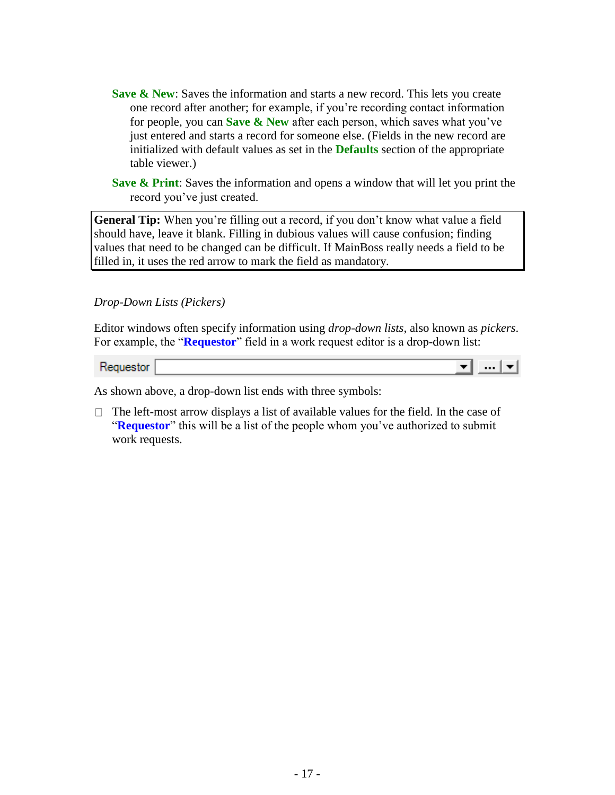- **Save & New:** Saves the information and starts a new record. This lets you create one record after another; for example, if you're recording contact information for people, you can **Save & New** after each person, which saves what you've just entered and starts a record for someone else. (Fields in the new record are initialized with default values as set in the **Defaults** section of the appropriate table viewer.)
- **Save & Print**: Saves the information and opens a window that will let you print the record you've just created.

**General Tip:** When you're filling out a record, if you don't know what value a field should have, leave it blank. Filling in dubious values will cause confusion; finding values that need to be changed can be difficult. If MainBoss really needs a field to be filled in, it uses the red arrow to mark the field as mandatory.

*Drop-Down Lists (Pickers)*

Editor windows often specify information using *drop-down lists*, also known as *pickers*. For example, the "**Requestor**" field in a work request editor is a drop-down list:

▼▏…┆▼▏

Requestor

As shown above, a drop-down list ends with three symbols:

 $\Box$  The left-most arrow displays a list of available values for the field. In the case of **"Requestor**" this will be a list of the people whom you've authorized to submit work requests.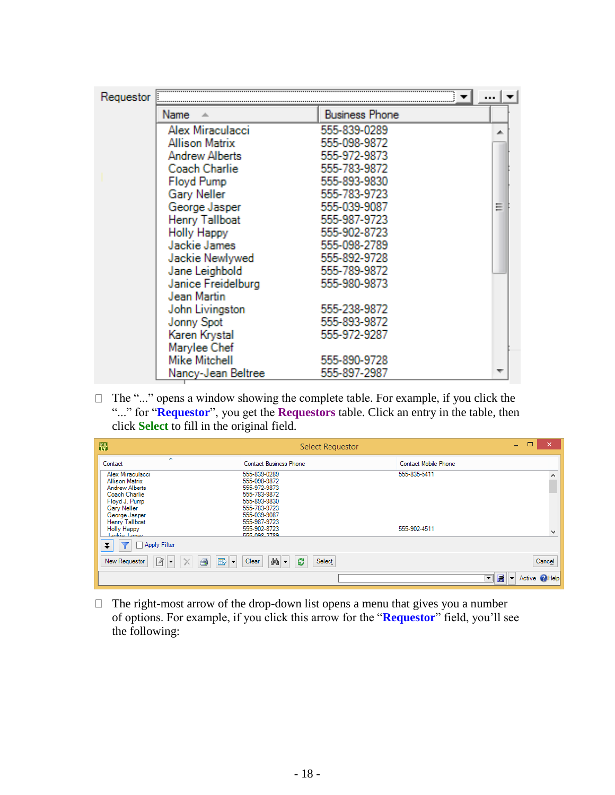| Requestor |                       |                       |  |
|-----------|-----------------------|-----------------------|--|
|           | Name                  | <b>Business Phone</b> |  |
|           | Alex Miraculacci      | 555-839-0289          |  |
|           | <b>Allison Matrix</b> | 555-098-9872          |  |
|           | <b>Andrew Alberts</b> | 555-972-9873          |  |
|           | Coach Charlie         | 555-783-9872          |  |
|           | <b>Floyd Pump</b>     | 555-893-9830          |  |
|           | Gary Neller           | 555-783-9723          |  |
|           | George Jasper         | 555-039-9087          |  |
|           | Henry Tallboat        | 555-987-9723          |  |
|           | <b>Holly Happy</b>    | 555-902-8723          |  |
|           | Jackie James          | 555-098-2789          |  |
|           | Jackie Newlywed       | 555-892-9728          |  |
|           | Jane Leighbold        | 555-789-9872          |  |
|           | Janice Freidelburg    | 555-980-9873          |  |
|           | Jean Martin           |                       |  |
|           | John Livingston       | 555-238-9872          |  |
|           | Jonny Spot            | 555-893-9872          |  |
|           | Karen Krystal         | 555-972-9287          |  |
|           | Marylee Chef          |                       |  |
|           | Mike Mitchell         | 555-890-9728          |  |
|           | Nancy-Jean Beltree    | 555-897-2987          |  |

 $\Box$  The "..." opens a window showing the complete table. For example, if you click the "..." for "**Requestor**", you get the **Requestors** table. Click an entry in the table, then click **Select** to fill in the original field.

| 需                                                                                                                                           | Select Requestor                                                                                             | $\Box$<br>-                                          | $\boldsymbol{\mathsf{x}}$ |
|---------------------------------------------------------------------------------------------------------------------------------------------|--------------------------------------------------------------------------------------------------------------|------------------------------------------------------|---------------------------|
| A<br>Contact                                                                                                                                | <b>Contact Business Phone</b>                                                                                | Contact Mobile Phone                                 |                           |
| Alex Miraculacci<br><b>Allison Matrix</b><br>Andrew Alberts<br><b>Coach Charlie</b><br>Floyd J. Pump<br><b>Gary Neller</b><br>George Jasper | 555-839-0289<br>555-098-9872<br>555-972-9873<br>555-783-9872<br>555-893-9830<br>555-783-9723<br>555-039-9087 | 555-835-5411                                         | ́                         |
| Henry Tallboat<br>Holly Happy<br><b>Iankie Iamee</b>                                                                                        | 555-987-9723<br>555-902-8723<br><b>EEE 098.2789</b>                                                          | 555-902-4511                                         | $\checkmark$              |
| <b>Apply Filter</b><br>Ŧ                                                                                                                    |                                                                                                              |                                                      |                           |
| Ø<br>B<br>4<br>New Requestor<br>▾<br>∣▼                                                                                                     | 当→<br>ස<br>Select<br>Clear                                                                                   |                                                      | Cancel                    |
|                                                                                                                                             |                                                                                                              | 層<br>Active 2 Help<br>$\overline{\phantom{a}}$<br>∣▼ |                           |

 $\Box$  The right-most arrow of the drop-down list opens a menu that gives you a number of options. For example, if you click this arrow for the "**Requestor**" field, you'll see the following: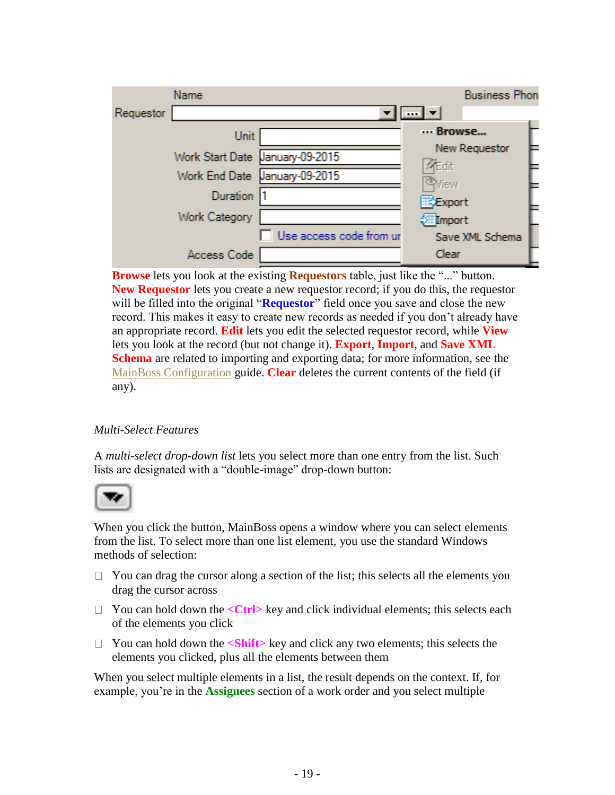|           | Name                            |                         | <b>Business Phon</b>           |  |
|-----------|---------------------------------|-------------------------|--------------------------------|--|
| Requestor |                                 |                         | $\frac{1}{2}$ $\frac{1}{2}$    |  |
|           | Unit                            |                         | Browse                         |  |
|           | Work Start Date January-09-2015 |                         | New Requestor<br><b>Aredit</b> |  |
|           | Work End Date January-09-2015   |                         | 率view                          |  |
|           | <b>Duration</b>                 |                         | <b>TXExport</b>                |  |
|           | <b>Work Category</b>            |                         | <b>Filmport</b>                |  |
|           |                                 | Use access code from ur | Save XML Schema                |  |
|           | Access Code                     |                         | Clear                          |  |

**Browse** lets you look at the existing **Requestors** table, just like the "..." button. **New Requestor** lets you create a new requestor record; if you do this, the requestor will be filled into the original "**Requestor**" field once you save and close the new record. This makes it easy to create new records as needed if you don't already have an appropriate record. **Edit** lets you edit the selected requestor record, while **View** lets you look at the record (but not change it). **Export**, **Import**, and **Save XML Schema** are related to importing and exporting data; for more information, see the MainBoss Configuration guide. **Clear** deletes the current contents of the field (if any).

# *Multi-Select Features*

A *multi-select drop-down list* lets you select more than one entry from the list. Such lists are designated with a "double-image" drop-down button:



When you click the button, MainBoss opens a window where you can select elements from the list. To select more than one list element, you use the standard Windows methods of selection:

- $\Box$  You can drag the cursor along a section of the list; this selects all the elements you drag the cursor across
- □ You can hold down the <**Ctrl**> key and click individual elements; this selects each of the elements you click
- □ You can hold down the <**Shift**> key and click any two elements; this selects the elements you clicked, plus all the elements between them

When you select multiple elements in a list, the result depends on the context. If, for example, you're in the **Assignees** section of a work order and you select multiple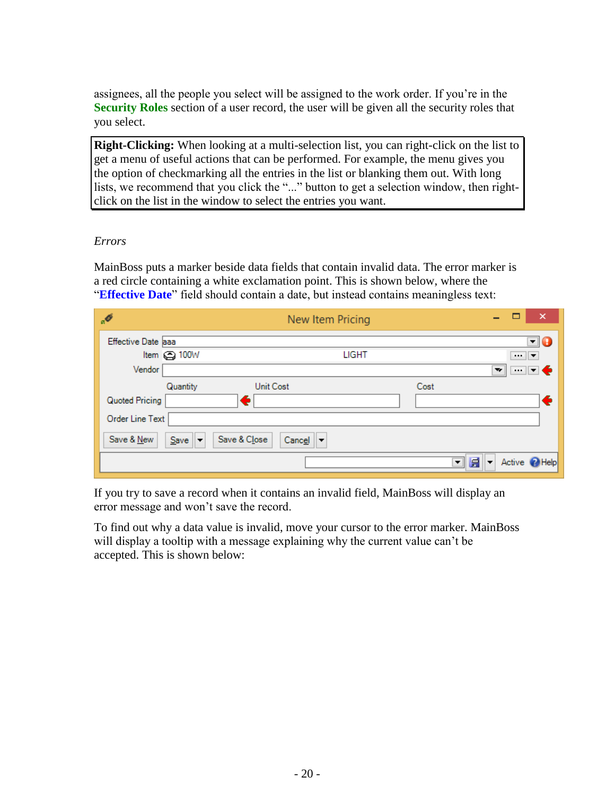assignees, all the people you select will be assigned to the work order. If you're in the **Security Roles** section of a user record, the user will be given all the security roles that you select.

**Right-Clicking:** When looking at a multi-selection list, you can right-click on the list to get a menu of useful actions that can be performed. For example, the menu gives you the option of checkmarking all the entries in the list or blanking them out. With long lists, we recommend that you click the "..." button to get a selection window, then rightclick on the list in the window to select the entries you want.

## *Errors*

MainBoss puts a marker beside data fields that contain invalid data. The error marker is a red circle containing a white exclamation point. This is shown below, where the "**Effective Date**" field should contain a date, but instead contains meaningless text:

| $\alpha$                     | New Item Pricing                              | ×                                                    |
|------------------------------|-----------------------------------------------|------------------------------------------------------|
| Effective Date aaa           |                                               | $\mathbf{F}$ (                                       |
| Item $\odot$ 100W            | <b>LIGHT</b>                                  | $\cdots$ $\mathbf{v}$                                |
| Vendor                       |                                               | ┉∣┙♦<br>$\overline{\mathbf{v}}$                      |
| Quantity                     | <b>Unit Cost</b>                              | Cost                                                 |
| Quoted Pricing               | ٥                                             | €                                                    |
| Order Line Text              |                                               |                                                      |
| Save & New<br>$S$ ave $   -$ | Save & Close<br>$Cance$ $\blacktriangleright$ |                                                      |
|                              |                                               | Active 2 Help<br>層<br>▼∥<br>$\overline{\phantom{a}}$ |

If you try to save a record when it contains an invalid field, MainBoss will display an error message and won't save the record.

To find out why a data value is invalid, move your cursor to the error marker. MainBoss will display a tooltip with a message explaining why the current value can't be accepted. This is shown below: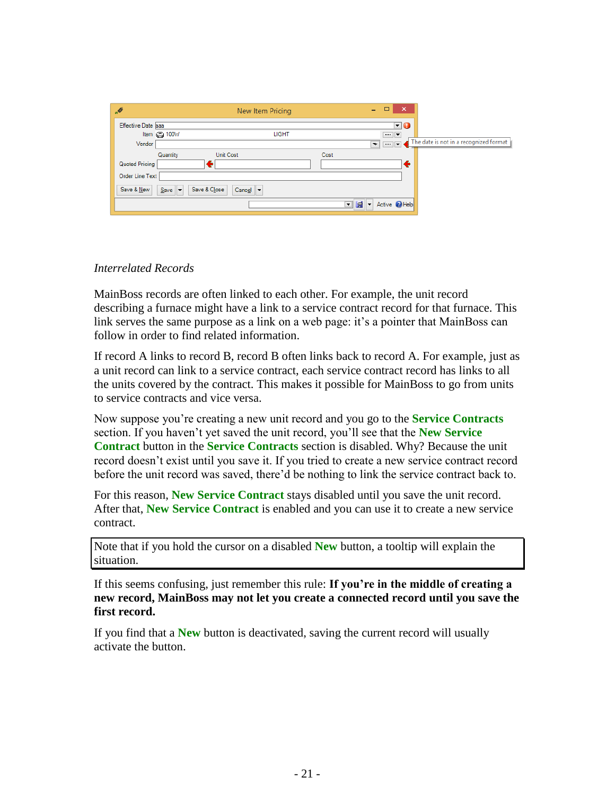| .Ø                 | New Item Pricing            |                        |              | ÷                                  | о<br>$\boldsymbol{\mathsf{x}}$ |                                        |
|--------------------|-----------------------------|------------------------|--------------|------------------------------------|--------------------------------|----------------------------------------|
| Effective Date aaa |                             |                        |              |                                    | $\Box$ 0                       |                                        |
|                    | Item $\odot$ 100W           |                        | <b>LIGHT</b> |                                    | $\cdots$ $\blacktriangledown$  |                                        |
| Vendor             |                             |                        |              | $\overline{\mathbf{v}}$            | $\overline{\mathbf{u}}$        | The date is not in a recognized format |
|                    | Quantity                    | <b>Unit Cost</b>       | Cost         |                                    |                                |                                        |
| Quoted Pricing     |                             |                        |              |                                    |                                |                                        |
| Order Line Text    |                             |                        |              |                                    |                                |                                        |
| Save & New         | $Save$ $\blacktriangledown$ | Save & Close<br>Cancel |              |                                    |                                |                                        |
|                    |                             |                        |              | 層<br>┳<br>$\overline{\phantom{a}}$ | Active <b>PHelp</b>            |                                        |

#### *Interrelated Records*

MainBoss records are often linked to each other. For example, the unit record describing a furnace might have a link to a service contract record for that furnace. This link serves the same purpose as a link on a web page: it's a pointer that MainBoss can follow in order to find related information.

If record A links to record B, record B often links back to record A. For example, just as a unit record can link to a service contract, each service contract record has links to all the units covered by the contract. This makes it possible for MainBoss to go from units to service contracts and vice versa.

Now suppose you're creating a new unit record and you go to the **Service Contracts** section. If you haven't yet saved the unit record, you'll see that the **New Service Contract** button in the **Service Contracts** section is disabled. Why? Because the unit record doesn't exist until you save it. If you tried to create a new service contract record before the unit record was saved, there'd be nothing to link the service contract back to.

For this reason, **New Service Contract** stays disabled until you save the unit record. After that, **New Service Contract** is enabled and you can use it to create a new service contract.

Note that if you hold the cursor on a disabled **New** button, a tooltip will explain the situation.

If this seems confusing, just remember this rule: **If you're in the middle of creating a new record, MainBoss may not let you create a connected record until you save the first record.**

If you find that a **New** button is deactivated, saving the current record will usually activate the button.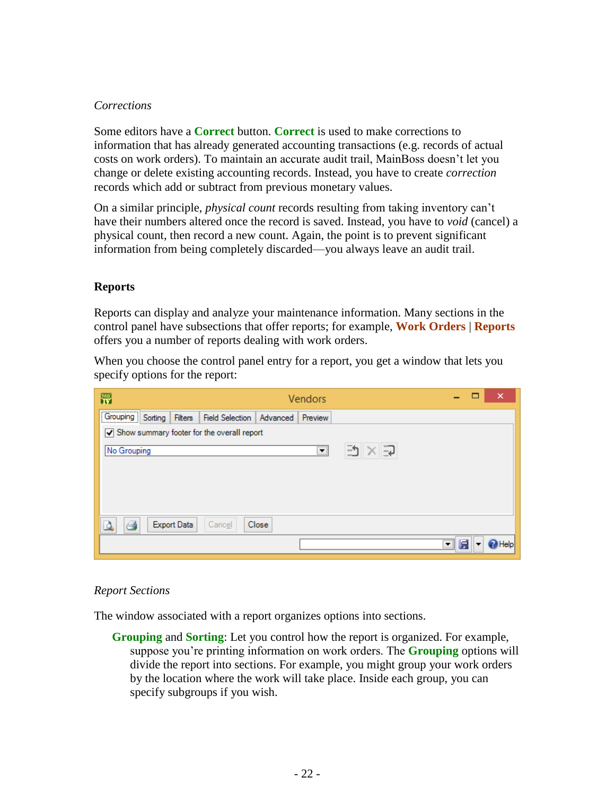#### *Corrections*

Some editors have a **Correct** button. **Correct** is used to make corrections to information that has already generated accounting transactions (e.g. records of actual costs on work orders). To maintain an accurate audit trail, MainBoss doesn't let you change or delete existing accounting records. Instead, you have to create *correction* records which add or subtract from previous monetary values.

On a similar principle, *physical count* records resulting from taking inventory can't have their numbers altered once the record is saved. Instead, you have to *void* (cancel) a physical count, then record a new count. Again, the point is to prevent significant information from being completely discarded—you always leave an audit trail.

#### **Reports**

Reports can display and analyze your maintenance information. Many sections in the control panel have subsections that offer reports; for example, **Work Orders** | **Reports** offers you a number of reports dealing with work orders.

When you choose the control panel entry for a report, you get a window that lets you specify options for the report:

| 閇<br><b>Vendors</b>                                                 |                               |  | ×    |  |  |  |  |  |
|---------------------------------------------------------------------|-------------------------------|--|------|--|--|--|--|--|
| Grouping Sorting<br>Field Selection   Advanced   Preview<br>Filters |                               |  |      |  |  |  |  |  |
| $\sqrt{}$ Show summary footer for the overall report                |                               |  |      |  |  |  |  |  |
| 勁<br>ධ<br>No Grouping<br>$\blacktriangledown$                       |                               |  |      |  |  |  |  |  |
|                                                                     |                               |  |      |  |  |  |  |  |
|                                                                     |                               |  |      |  |  |  |  |  |
|                                                                     |                               |  |      |  |  |  |  |  |
|                                                                     |                               |  |      |  |  |  |  |  |
| e<br><b>Export Data</b><br>Cancel<br>Close                          |                               |  |      |  |  |  |  |  |
|                                                                     | 匾<br>$\overline{\phantom{a}}$ |  | Help |  |  |  |  |  |

## *Report Sections*

The window associated with a report organizes options into sections.

**Grouping** and **Sorting**: Let you control how the report is organized. For example, suppose you're printing information on work orders. The **Grouping** options will divide the report into sections. For example, you might group your work orders by the location where the work will take place. Inside each group, you can specify subgroups if you wish.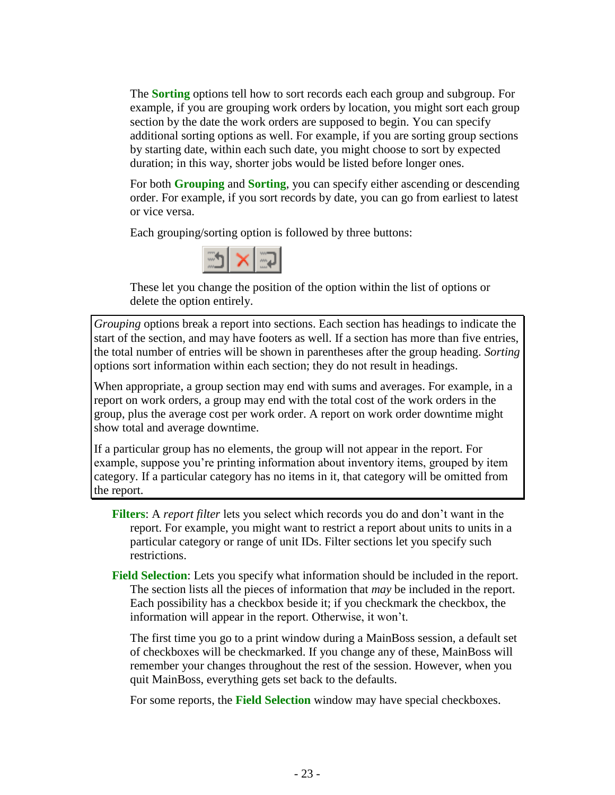The **Sorting** options tell how to sort records each each group and subgroup. For example, if you are grouping work orders by location, you might sort each group section by the date the work orders are supposed to begin. You can specify additional sorting options as well. For example, if you are sorting group sections by starting date, within each such date, you might choose to sort by expected duration; in this way, shorter jobs would be listed before longer ones.

For both **Grouping** and **Sorting**, you can specify either ascending or descending order. For example, if you sort records by date, you can go from earliest to latest or vice versa.

Each grouping/sorting option is followed by three buttons:



These let you change the position of the option within the list of options or delete the option entirely.

*Grouping* options break a report into sections. Each section has headings to indicate the start of the section, and may have footers as well. If a section has more than five entries, the total number of entries will be shown in parentheses after the group heading. *Sorting* options sort information within each section; they do not result in headings.

When appropriate, a group section may end with sums and averages. For example, in a report on work orders, a group may end with the total cost of the work orders in the group, plus the average cost per work order. A report on work order downtime might show total and average downtime.

If a particular group has no elements, the group will not appear in the report. For example, suppose you're printing information about inventory items, grouped by item category. If a particular category has no items in it, that category will be omitted from the report.

- **Filters**: A *report filter* lets you select which records you do and don't want in the report. For example, you might want to restrict a report about units to units in a particular category or range of unit IDs. Filter sections let you specify such restrictions.
- **Field Selection**: Lets you specify what information should be included in the report. The section lists all the pieces of information that *may* be included in the report. Each possibility has a checkbox beside it; if you checkmark the checkbox, the information will appear in the report. Otherwise, it won't.

The first time you go to a print window during a MainBoss session, a default set of checkboxes will be checkmarked. If you change any of these, MainBoss will remember your changes throughout the rest of the session. However, when you quit MainBoss, everything gets set back to the defaults.

For some reports, the **Field Selection** window may have special checkboxes.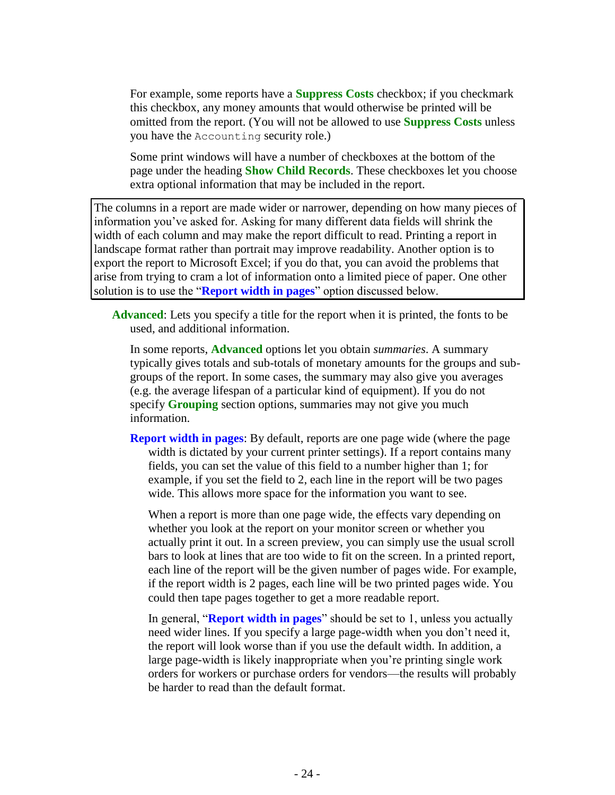For example, some reports have a **Suppress Costs** checkbox; if you checkmark this checkbox, any money amounts that would otherwise be printed will be omitted from the report. (You will not be allowed to use **Suppress Costs** unless you have the Accounting security role.)

Some print windows will have a number of checkboxes at the bottom of the page under the heading **Show Child Records**. These checkboxes let you choose extra optional information that may be included in the report.

The columns in a report are made wider or narrower, depending on how many pieces of information you've asked for. Asking for many different data fields will shrink the width of each column and may make the report difficult to read. Printing a report in landscape format rather than portrait may improve readability. Another option is to export the report to Microsoft Excel; if you do that, you can avoid the problems that arise from trying to cram a lot of information onto a limited piece of paper. One other solution is to use the "**Report width in pages**" option discussed below.

**Advanced**: Lets you specify a title for the report when it is printed, the fonts to be used, and additional information.

In some reports, **Advanced** options let you obtain *summaries*. A summary typically gives totals and sub-totals of monetary amounts for the groups and subgroups of the report. In some cases, the summary may also give you averages (e.g. the average lifespan of a particular kind of equipment). If you do not specify **Grouping** section options, summaries may not give you much information.

**Report width in pages**: By default, reports are one page wide (where the page width is dictated by your current printer settings). If a report contains many fields, you can set the value of this field to a number higher than 1; for example, if you set the field to 2, each line in the report will be two pages wide. This allows more space for the information you want to see.

When a report is more than one page wide, the effects vary depending on whether you look at the report on your monitor screen or whether you actually print it out. In a screen preview, you can simply use the usual scroll bars to look at lines that are too wide to fit on the screen. In a printed report, each line of the report will be the given number of pages wide. For example, if the report width is 2 pages, each line will be two printed pages wide. You could then tape pages together to get a more readable report.

In general, "**Report width in pages**" should be set to 1, unless you actually need wider lines. If you specify a large page-width when you don't need it, the report will look worse than if you use the default width. In addition, a large page-width is likely inappropriate when you're printing single work orders for workers or purchase orders for vendors—the results will probably be harder to read than the default format.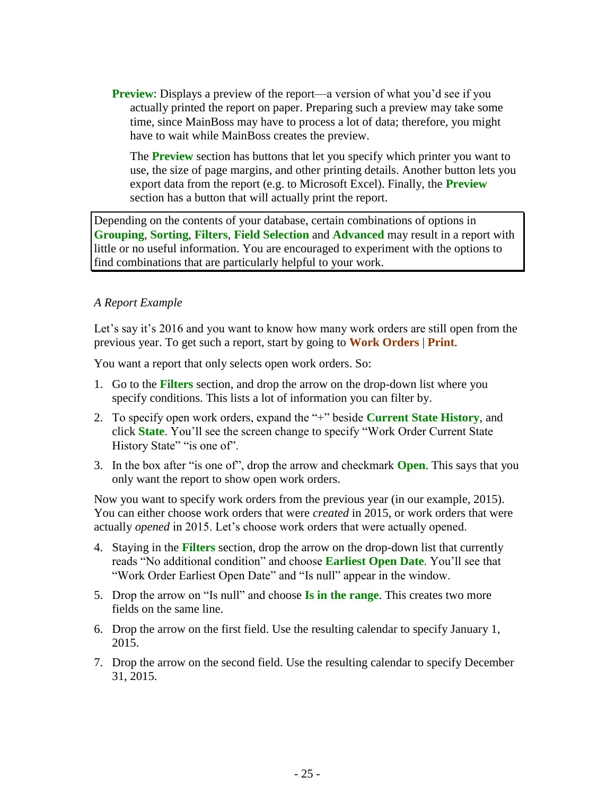**Preview**: Displays a preview of the report—a version of what you'd see if you actually printed the report on paper. Preparing such a preview may take some time, since MainBoss may have to process a lot of data; therefore, you might have to wait while MainBoss creates the preview.

The **Preview** section has buttons that let you specify which printer you want to use, the size of page margins, and other printing details. Another button lets you export data from the report (e.g. to Microsoft Excel). Finally, the **Preview** section has a button that will actually print the report.

Depending on the contents of your database, certain combinations of options in **Grouping**, **Sorting**, **Filters**, **Field Selection** and **Advanced** may result in a report with little or no useful information. You are encouraged to experiment with the options to find combinations that are particularly helpful to your work.

#### *A Report Example*

Let's say it's 2016 and you want to know how many work orders are still open from the previous year. To get such a report, start by going to **Work Orders** | **Print**.

You want a report that only selects open work orders. So:

- 1. Go to the **Filters** section, and drop the arrow on the drop-down list where you specify conditions. This lists a lot of information you can filter by.
- 2. To specify open work orders, expand the "+" beside **Current State History**, and click **State**. You'll see the screen change to specify "Work Order Current State History State" "is one of".
- 3. In the box after "is one of", drop the arrow and checkmark **Open**. This says that you only want the report to show open work orders.

Now you want to specify work orders from the previous year (in our example, 2015). You can either choose work orders that were *created* in 2015, or work orders that were actually *opened* in 2015. Let's choose work orders that were actually opened.

- 4. Staying in the **Filters** section, drop the arrow on the drop-down list that currently reads "No additional condition" and choose **Earliest Open Date**. You'll see that "Work Order Earliest Open Date" and "Is null" appear in the window.
- 5. Drop the arrow on "Is null" and choose **Is in the range**. This creates two more fields on the same line.
- 6. Drop the arrow on the first field. Use the resulting calendar to specify January 1, 2015.
- 7. Drop the arrow on the second field. Use the resulting calendar to specify December 31, 2015.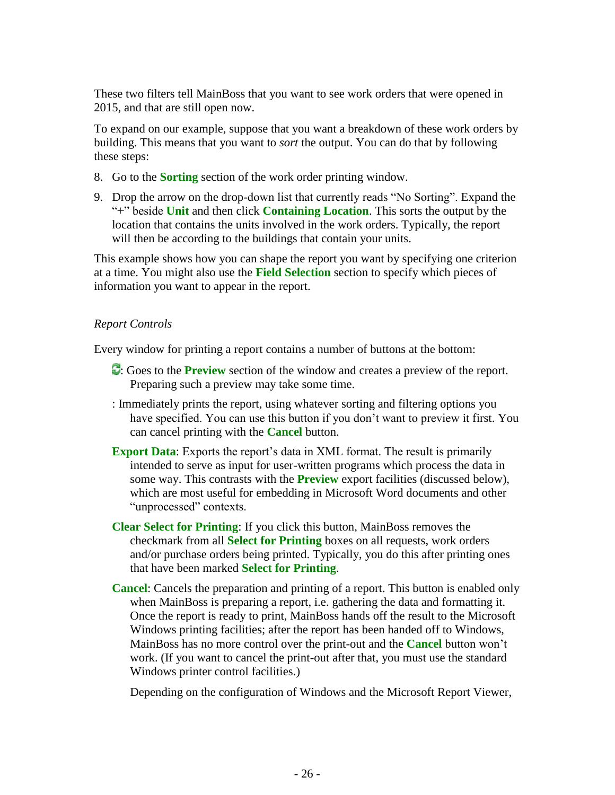These two filters tell MainBoss that you want to see work orders that were opened in 2015, and that are still open now.

To expand on our example, suppose that you want a breakdown of these work orders by building. This means that you want to *sort* the output. You can do that by following these steps:

- 8. Go to the **Sorting** section of the work order printing window.
- 9. Drop the arrow on the drop-down list that currently reads "No Sorting". Expand the "+" beside **Unit** and then click **Containing Location**. This sorts the output by the location that contains the units involved in the work orders. Typically, the report will then be according to the buildings that contain your units.

This example shows how you can shape the report you want by specifying one criterion at a time. You might also use the **Field Selection** section to specify which pieces of information you want to appear in the report.

## *Report Controls*

Every window for printing a report contains a number of buttons at the bottom:

- : Goes to the **Preview** section of the window and creates a preview of the report. Preparing such a preview may take some time.
- : Immediately prints the report, using whatever sorting and filtering options you have specified. You can use this button if you don't want to preview it first. You can cancel printing with the **Cancel** button.
- **Export Data:** Exports the report's data in XML format. The result is primarily intended to serve as input for user-written programs which process the data in some way. This contrasts with the **Preview** export facilities (discussed below), which are most useful for embedding in Microsoft Word documents and other "unprocessed" contexts.
- **Clear Select for Printing**: If you click this button, MainBoss removes the checkmark from all **Select for Printing** boxes on all requests, work orders and/or purchase orders being printed. Typically, you do this after printing ones that have been marked **Select for Printing**.
- **Cancel**: Cancels the preparation and printing of a report. This button is enabled only when MainBoss is preparing a report, i.e. gathering the data and formatting it. Once the report is ready to print, MainBoss hands off the result to the Microsoft Windows printing facilities; after the report has been handed off to Windows, MainBoss has no more control over the print-out and the **Cancel** button won't work. (If you want to cancel the print-out after that, you must use the standard Windows printer control facilities.)

Depending on the configuration of Windows and the Microsoft Report Viewer,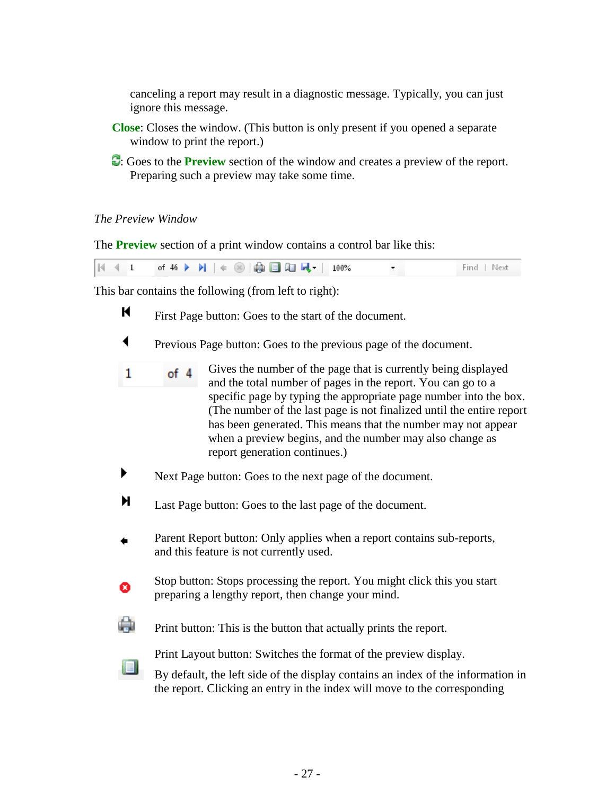canceling a report may result in a diagnostic message. Typically, you can just ignore this message.

- **Close**: Closes the window. (This button is only present if you opened a separate window to print the report.)
- : Goes to the **Preview** section of the window and creates a preview of the report. Preparing such a preview may take some time.

## *The Preview Window*

isi.

The **Preview** section of a print window contains a control bar like this:

|  |  | $ \mathbb{N} $ 4 1 of 46 $\blacktriangleright$ $\blacktriangleright$ $ \mathrel{\Leftrightarrow}$ $ \mathrel{\mathop:}$ $\oplus$ $ \mathrel{\mathop:}$ $\Box$ $\Box$ $ \mathrel{\mathop:}$ $\blacksquare$ $\blacksquare$ $ $ 100% |  | Find Next |
|--|--|-----------------------------------------------------------------------------------------------------------------------------------------------------------------------------------------------------------------------------------|--|-----------|
|--|--|-----------------------------------------------------------------------------------------------------------------------------------------------------------------------------------------------------------------------------------|--|-----------|

This bar contains the following (from left to right):

- к First Page button: Goes to the start of the document.
- ◀ Previous Page button: Goes to the previous page of the document.
- Gives the number of the page that is currently being displayed  $\mathbf{1}$ of 4 and the total number of pages in the report. You can go to a specific page by typing the appropriate page number into the box. (The number of the last page is not finalized until the entire report has been generated. This means that the number may not appear when a preview begins, and the number may also change as report generation continues.)
- ▶ Next Page button: Goes to the next page of the document.
- н Last Page button: Goes to the last page of the document.
- Parent Report button: Only applies when a report contains sub-reports, and this feature is not currently used.
	- Stop button: Stops processing the report. You might click this you start preparing a lengthy report, then change your mind.
- 臝 Print button: This is the button that actually prints the report.

Print Layout button: Switches the format of the preview display.

By default, the left side of the display contains an index of the information in the report. Clicking an entry in the index will move to the corresponding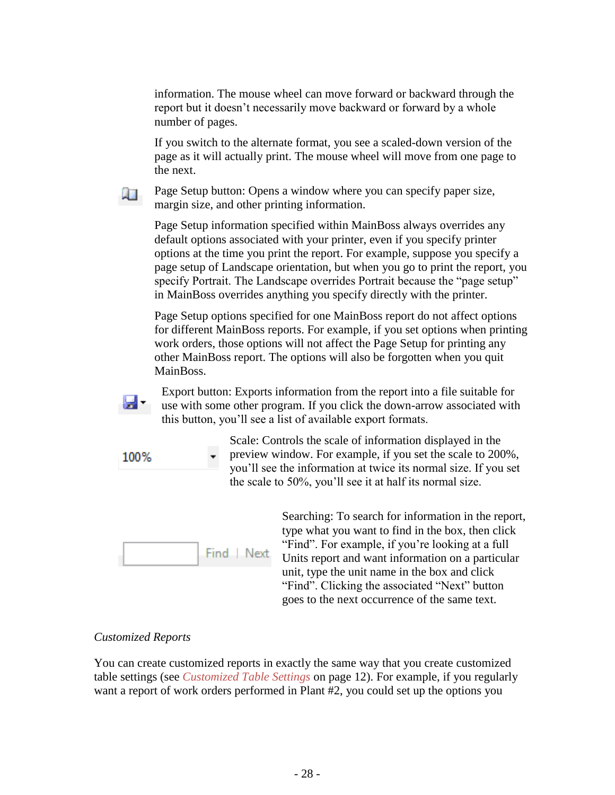information. The mouse wheel can move forward or backward through the report but it doesn't necessarily move backward or forward by a whole number of pages.

If you switch to the alternate format, you see a scaled-down version of the page as it will actually print. The mouse wheel will move from one page to the next.

Page Setup button: Opens a window where you can specify paper size, margin size, and other printing information.

Page Setup information specified within MainBoss always overrides any default options associated with your printer, even if you specify printer options at the time you print the report. For example, suppose you specify a page setup of Landscape orientation, but when you go to print the report, you specify Portrait. The Landscape overrides Portrait because the "page setup" in MainBoss overrides anything you specify directly with the printer.

Page Setup options specified for one MainBoss report do not affect options for different MainBoss reports. For example, if you set options when printing work orders, those options will not affect the Page Setup for printing any other MainBoss report. The options will also be forgotten when you quit MainBoss.



 $\overline{A}$ 

Export button: Exports information from the report into a file suitable for use with some other program. If you click the down-arrow associated with this button, you'll see a list of available export formats.

100%

Scale: Controls the scale of information displayed in the preview window. For example, if you set the scale to 200%, you'll see the information at twice its normal size. If you set the scale to 50%, you'll see it at half its normal size.



Searching: To search for information in the report, type what you want to find in the box, then click "Find". For example, if you're looking at a full Units report and want information on a particular unit, type the unit name in the box and click "Find". Clicking the associated "Next" button goes to the next occurrence of the same text.

# *Customized Reports*

You can create customized reports in exactly the same way that you create customized table settings (see *[Customized Table Settings](#page-12-0)* on page [12\)](#page-12-0). For example, if you regularly want a report of work orders performed in Plant #2, you could set up the options you